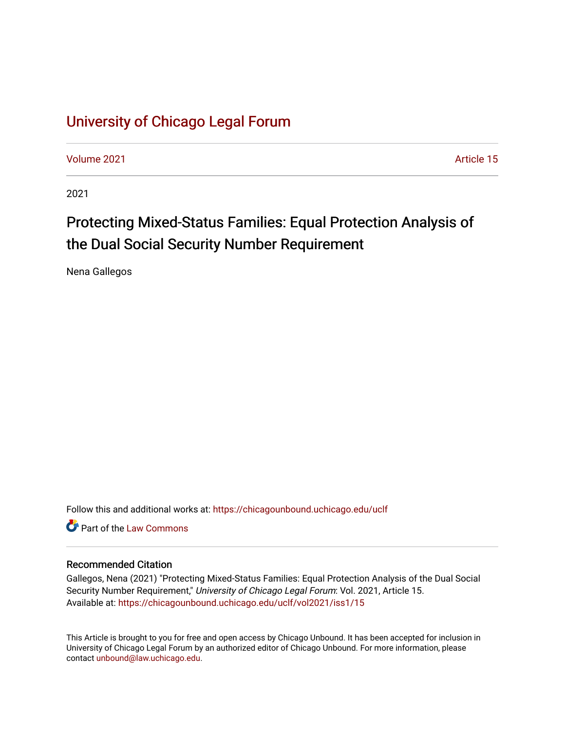## [University of Chicago Legal Forum](https://chicagounbound.uchicago.edu/uclf)

[Volume 2021](https://chicagounbound.uchicago.edu/uclf/vol2021) [Article 15](https://chicagounbound.uchicago.edu/uclf/vol2021/iss1/15) 

2021

# Protecting Mixed-Status Families: Equal Protection Analysis of the Dual Social Security Number Requirement

Nena Gallegos

Follow this and additional works at: [https://chicagounbound.uchicago.edu/uclf](https://chicagounbound.uchicago.edu/uclf?utm_source=chicagounbound.uchicago.edu%2Fuclf%2Fvol2021%2Fiss1%2F15&utm_medium=PDF&utm_campaign=PDFCoverPages) 

**C** Part of the [Law Commons](https://network.bepress.com/hgg/discipline/578?utm_source=chicagounbound.uchicago.edu%2Fuclf%2Fvol2021%2Fiss1%2F15&utm_medium=PDF&utm_campaign=PDFCoverPages)

#### Recommended Citation

Gallegos, Nena (2021) "Protecting Mixed-Status Families: Equal Protection Analysis of the Dual Social Security Number Requirement," University of Chicago Legal Forum: Vol. 2021, Article 15. Available at: [https://chicagounbound.uchicago.edu/uclf/vol2021/iss1/15](https://chicagounbound.uchicago.edu/uclf/vol2021/iss1/15?utm_source=chicagounbound.uchicago.edu%2Fuclf%2Fvol2021%2Fiss1%2F15&utm_medium=PDF&utm_campaign=PDFCoverPages)

This Article is brought to you for free and open access by Chicago Unbound. It has been accepted for inclusion in University of Chicago Legal Forum by an authorized editor of Chicago Unbound. For more information, please contact [unbound@law.uchicago.edu](mailto:unbound@law.uchicago.edu).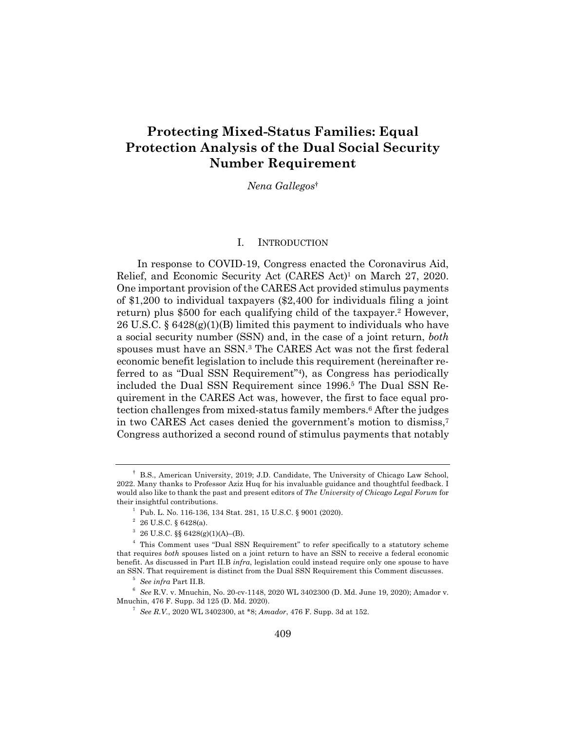### **Protecting Mixed-Status Families: Equal Protection Analysis of the Dual Social Security Number Requirement**

*Nena Gallegos*†

#### I. INTRODUCTION

In response to COVID-19, Congress enacted the Coronavirus Aid, Relief, and Economic Security Act (CARES Act)1 on March 27, 2020. One important provision of the CARES Act provided stimulus payments of \$1,200 to individual taxpayers (\$2,400 for individuals filing a joint return) plus \$500 for each qualifying child of the taxpayer.<sup>2</sup> However, 26 U.S.C. § 6428(g)(1)(B) limited this payment to individuals who have a social security number (SSN) and, in the case of a joint return, *both* spouses must have an SSN.3 The CARES Act was not the first federal economic benefit legislation to include this requirement (hereinafter referred to as "Dual SSN Requirement"4), as Congress has periodically included the Dual SSN Requirement since 1996.5 The Dual SSN Requirement in the CARES Act was, however, the first to face equal protection challenges from mixed-status family members.<sup>6</sup> After the judges in two CARES Act cases denied the government's motion to dismiss,7 Congress authorized a second round of stimulus payments that notably

<sup>†</sup> B.S., American University, 2019; J.D. Candidate, The University of Chicago Law School, 2022. Many thanks to Professor Aziz Huq for his invaluable guidance and thoughtful feedback. I would also like to thank the past and present editors of *The University of Chicago Legal Forum* for their insightful contributions.

<sup>&</sup>lt;sup>1</sup> Pub. L. No. 116-136, 134 Stat. 281, 15 U.S.C. § 9001 (2020).

 $26$  U.S.C. § 6428(a).

 $3\,$  26 U.S.C. §§ 6428(g)(1)(A)–(B).

<sup>4</sup> This Comment uses "Dual SSN Requirement" to refer specifically to a statutory scheme that requires *both* spouses listed on a joint return to have an SSN to receive a federal economic benefit. As discussed in Part II.B *infra*, legislation could instead require only one spouse to have an SSN. That requirement is distinct from the Dual SSN Requirement this Comment discusses.

<sup>5</sup> *See infra* Part II.B.

<sup>6</sup> *See* R.V. v. Mnuchin, No. 20-cv-1148, 2020 WL 3402300 (D. Md. June 19, 2020); Amador v. Mnuchin, 476 F. Supp. 3d 125 (D. Md. 2020).

<sup>7</sup> *See R.V.*, 2020 WL 3402300, at \*8; *Amador*, 476 F. Supp. 3d at 152.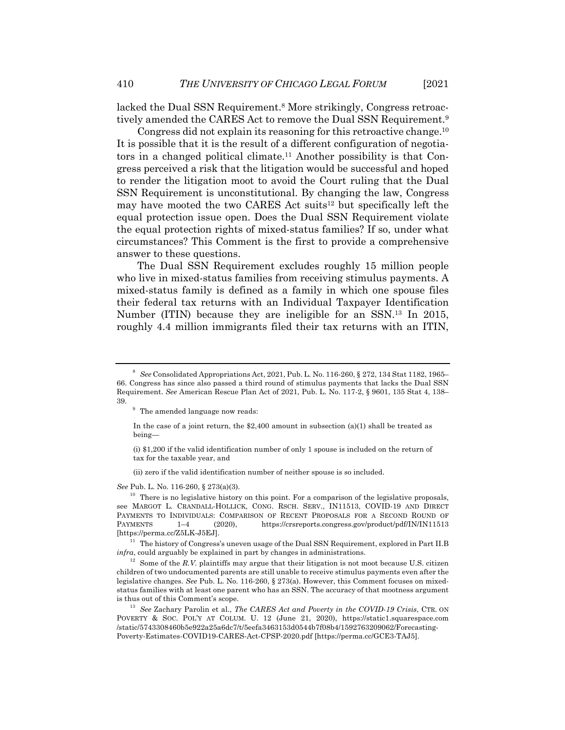lacked the Dual SSN Requirement.<sup>8</sup> More strikingly, Congress retroactively amended the CARES Act to remove the Dual SSN Requirement.9

Congress did not explain its reasoning for this retroactive change.10 It is possible that it is the result of a different configuration of negotiators in a changed political climate.11 Another possibility is that Congress perceived a risk that the litigation would be successful and hoped to render the litigation moot to avoid the Court ruling that the Dual SSN Requirement is unconstitutional. By changing the law, Congress may have mooted the two CARES Act suits<sup>12</sup> but specifically left the equal protection issue open. Does the Dual SSN Requirement violate the equal protection rights of mixed-status families? If so, under what circumstances? This Comment is the first to provide a comprehensive answer to these questions.

The Dual SSN Requirement excludes roughly 15 million people who live in mixed-status families from receiving stimulus payments. A mixed-status family is defined as a family in which one spouse files their federal tax returns with an Individual Taxpayer Identification Number (ITIN) because they are ineligible for an SSN.13 In 2015, roughly 4.4 million immigrants filed their tax returns with an ITIN,

(ii) zero if the valid identification number of neither spouse is so included.

*See* Pub. L. No. 116-260, § 273(a)(3).

 $10$  There is no legislative history on this point. For a comparison of the legislative proposals, see MARGOT L. CRANDALL-HOLLICK, CONG. RSCH. SERV., IN11513, COVID-19 AND DIRECT PAYMENTS TO INDIVIDUALS: COMPARISON OF RECENT PROPOSALS FOR A SECOND ROUND OF PAYMENTS 1–4 (2020), https://crsreports.congress.gov/product/pdf/IN/IN11513 [https://perma.cc/Z5LK-J5EJ].

 $^{11}\,$  The history of Congress's uneven usage of the Dual SSN Requirement, explored in Part II.B *infra*, could arguably be explained in part by changes in administrations.

 $12$  Some of the *R.V.* plaintiffs may argue that their litigation is not moot because U.S. citizen children of two undocumented parents are still unable to receive stimulus payments even after the legislative changes. *See* Pub. L. No. 116-260, § 273(a). However, this Comment focuses on mixedstatus families with at least one parent who has an SSN. The accuracy of that mootness argument is thus out of this Comment's scope.

<sup>13</sup> *See* Zachary Parolin et al., *The CARES Act and Poverty in the COVID-19 Crisis*, CTR. ON POVERTY & SOC. POL'Y AT COLUM. U. 12 (June 21, 2020), https://static1.squarespace.com /static/5743308460b5e922a25a6dc7/t/5eefa3463153d0544b7f08b4/1592763209062/Forecasting-Poverty-Estimates-COVID19-CARES-Act-CPSP-2020.pdf [https://perma.cc/GCE3-TAJ5].

<sup>8</sup> *See* Consolidated Appropriations Act, 2021, Pub. L. No. 116-260, § 272, 134 Stat 1182, 1965– 66. Congress has since also passed a third round of stimulus payments that lacks the Dual SSN Requirement. *See* American Rescue Plan Act of 2021, Pub. L. No. 117-2, § 9601, 135 Stat 4, 138– 39.

<sup>&</sup>lt;sup>9</sup> The amended language now reads:

In the case of a joint return, the  $$2,400$  amount in subsection (a)(1) shall be treated as being—

<sup>(</sup>i) \$1,200 if the valid identification number of only 1 spouse is included on the return of tax for the taxable year, and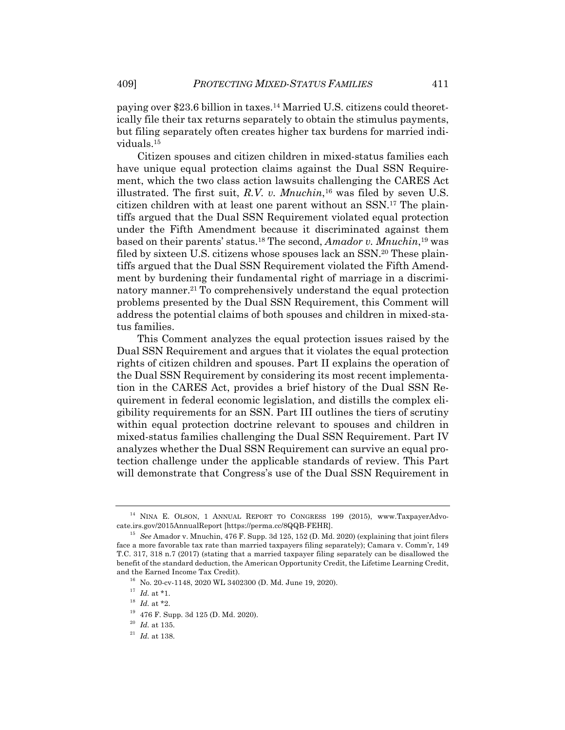paying over \$23.6 billion in taxes.14 Married U.S. citizens could theoretically file their tax returns separately to obtain the stimulus payments, but filing separately often creates higher tax burdens for married individuals.15

Citizen spouses and citizen children in mixed-status families each have unique equal protection claims against the Dual SSN Requirement, which the two class action lawsuits challenging the CARES Act illustrated. The first suit, *R.V. v. Mnuchin*, <sup>16</sup> was filed by seven U.S. citizen children with at least one parent without an SSN.17 The plaintiffs argued that the Dual SSN Requirement violated equal protection under the Fifth Amendment because it discriminated against them based on their parents' status.18 The second, *Amador v. Mnuchin*, <sup>19</sup> was filed by sixteen U.S. citizens whose spouses lack an SSN.20 These plaintiffs argued that the Dual SSN Requirement violated the Fifth Amendment by burdening their fundamental right of marriage in a discriminatory manner.<sup>21</sup> To comprehensively understand the equal protection problems presented by the Dual SSN Requirement, this Comment will address the potential claims of both spouses and children in mixed-status families.

This Comment analyzes the equal protection issues raised by the Dual SSN Requirement and argues that it violates the equal protection rights of citizen children and spouses. Part II explains the operation of the Dual SSN Requirement by considering its most recent implementation in the CARES Act, provides a brief history of the Dual SSN Requirement in federal economic legislation, and distills the complex eligibility requirements for an SSN. Part III outlines the tiers of scrutiny within equal protection doctrine relevant to spouses and children in mixed-status families challenging the Dual SSN Requirement. Part IV analyzes whether the Dual SSN Requirement can survive an equal protection challenge under the applicable standards of review. This Part will demonstrate that Congress's use of the Dual SSN Requirement in

<sup>&</sup>lt;sup>14</sup> NINA E. OLSON, 1 ANNUAL REPORT TO CONGRESS 199 (2015), www.TaxpayerAdvocate.irs.gov/2015AnnualReport [https://perma.cc/8QQB-FEHR].

<sup>15</sup> *See* Amador v. Mnuchin, 476 F. Supp. 3d 125, 152 (D. Md. 2020) (explaining that joint filers face a more favorable tax rate than married taxpayers filing separately); Camara v. Comm'r, 149 T.C. 317, 318 n.7 (2017) (stating that a married taxpayer filing separately can be disallowed the benefit of the standard deduction, the American Opportunity Credit, the Lifetime Learning Credit, and the Earned Income Tax Credit).

 $16$  No. 20-cv-1148, 2020 WL 3402300 (D. Md. June 19, 2020).

 $17$  *Id.* at \*1.

 $^{18}$   $\,$   $\!Id.\xspace$  at \*2.

<sup>19</sup> 476 F. Supp. 3d 125 (D. Md. 2020).

 $^{\rm 20}$   $\emph{Id.}$  at 135.

<sup>21</sup> *Id.* at 138.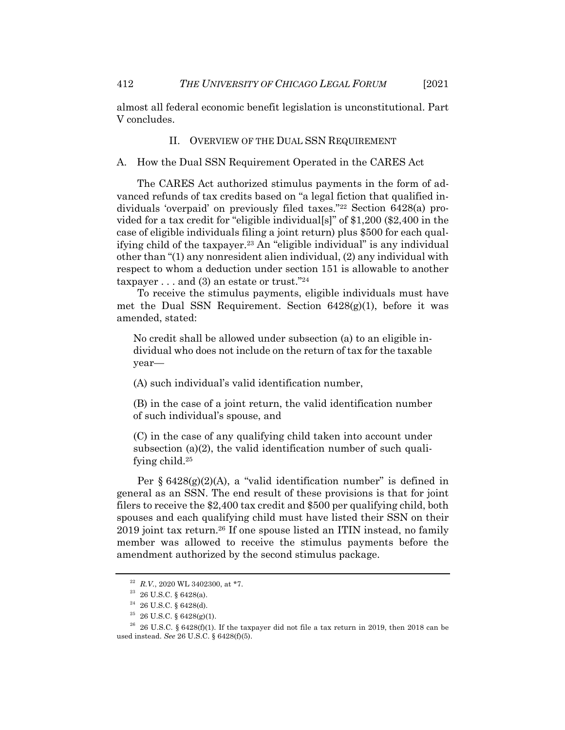almost all federal economic benefit legislation is unconstitutional. Part V concludes.

#### II. OVERVIEW OF THE DUAL SSN REQUIREMENT

A. How the Dual SSN Requirement Operated in the CARES Act

The CARES Act authorized stimulus payments in the form of advanced refunds of tax credits based on "a legal fiction that qualified individuals 'overpaid' on previously filed taxes."22 Section 6428(a) provided for a tax credit for "eligible individual[s]" of \$1,200 (\$2,400 in the case of eligible individuals filing a joint return) plus \$500 for each qualifying child of the taxpayer.23 An "eligible individual" is any individual other than "(1) any nonresident alien individual, (2) any individual with respect to whom a deduction under section 151 is allowable to another taxpayer  $\dots$  and (3) an estate or trust."<sup>24</sup>

To receive the stimulus payments, eligible individuals must have met the Dual SSN Requirement. Section  $6428(g)(1)$ , before it was amended, stated:

No credit shall be allowed under subsection (a) to an eligible individual who does not include on the return of tax for the taxable year—

(A) such individual's valid identification number,

(B) in the case of a joint return, the valid identification number of such individual's spouse, and

(C) in the case of any qualifying child taken into account under subsection (a)(2), the valid identification number of such qualifying child.25

Per  $\S 6428(g)(2)(A)$ , a "valid identification number" is defined in general as an SSN. The end result of these provisions is that for joint filers to receive the \$2,400 tax credit and \$500 per qualifying child, both spouses and each qualifying child must have listed their SSN on their 2019 joint tax return.26 If one spouse listed an ITIN instead, no family member was allowed to receive the stimulus payments before the amendment authorized by the second stimulus package.

<sup>22</sup> *R.V.*, 2020 WL 3402300, at \*7.

 $23$  26 U.S.C. § 6428(a).

 $24$  26 U.S.C. § 6428(d).

 $^{25}$  26 U.S.C. § 6428(g)(1).

<sup>&</sup>lt;sup>26</sup> 26 U.S.C. § 6428(f)(1). If the taxpayer did not file a tax return in 2019, then 2018 can be used instead. *See* 26 U.S.C. § 6428(f)(5).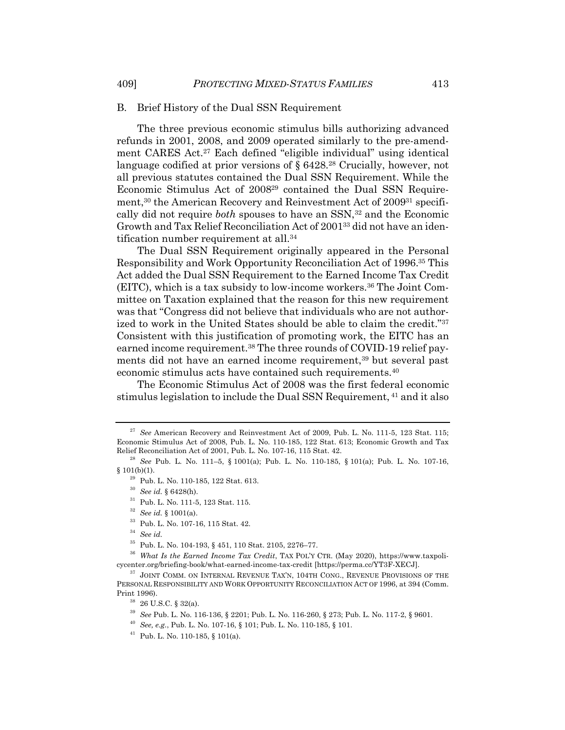#### B. Brief History of the Dual SSN Requirement

The three previous economic stimulus bills authorizing advanced refunds in 2001, 2008, and 2009 operated similarly to the pre-amendment CARES Act.27 Each defined "eligible individual" using identical language codified at prior versions of § 6428.28 Crucially, however, not all previous statutes contained the Dual SSN Requirement. While the Economic Stimulus Act of 200829 contained the Dual SSN Requirement,<sup>30</sup> the American Recovery and Reinvestment Act of 2009<sup>31</sup> specifically did not require *both* spouses to have an SSN,<sup>32</sup> and the Economic Growth and Tax Relief Reconciliation Act of 200133 did not have an identification number requirement at all.34

The Dual SSN Requirement originally appeared in the Personal Responsibility and Work Opportunity Reconciliation Act of 1996.35 This Act added the Dual SSN Requirement to the Earned Income Tax Credit (EITC), which is a tax subsidy to low-income workers.36 The Joint Committee on Taxation explained that the reason for this new requirement was that "Congress did not believe that individuals who are not authorized to work in the United States should be able to claim the credit."37 Consistent with this justification of promoting work, the EITC has an earned income requirement.<sup>38</sup> The three rounds of COVID-19 relief payments did not have an earned income requirement,<sup>39</sup> but several past economic stimulus acts have contained such requirements.40

The Economic Stimulus Act of 2008 was the first federal economic stimulus legislation to include the Dual SSN Requirement, <sup>41</sup> and it also

<sup>34</sup> *See id.*

<sup>27</sup> *See* American Recovery and Reinvestment Act of 2009, Pub. L. No. 111-5, 123 Stat. 115; Economic Stimulus Act of 2008, Pub. L. No. 110-185, 122 Stat. 613; Economic Growth and Tax Relief Reconciliation Act of 2001, Pub. L. No. 107-16, 115 Stat. 42.

<sup>28</sup> *See* Pub. L. No. 111–5, § 1001(a); Pub. L. No. 110-185, § 101(a); Pub. L. No. 107-16, § 101(b)(1).

<sup>29</sup> Pub. L. No. 110-185, 122 Stat. 613.

<sup>30</sup> *See id.* § 6428(h).

<sup>31</sup> Pub. L. No. 111-5, 123 Stat. 115.

<sup>32</sup> *See id.* § 1001(a).

<sup>33</sup> Pub. L. No. 107-16, 115 Stat. 42.

<sup>35</sup> Pub. L. No. 104-193, § 451, 110 Stat. 2105, 2276–77.

<sup>36</sup> *What Is the Earned Income Tax Credit*, TAX POL'Y CTR. (May 2020), https://www.taxpolicycenter.org/briefing-book/what-earned-income-tax-credit [https://perma.cc/YT3F-XECJ].

 $37$  JOINT COMM. ON INTERNAL REVENUE TAX'N, 104TH CONG., REVENUE PROVISIONS OF THE PERSONAL RESPONSIBILITY AND WORK OPPORTUNITY RECONCILIATION ACT OF 1996, at 394 (Comm. Print 1996).

<sup>38</sup> 26 U.S.C. § 32(a).

<sup>39</sup> *See* Pub. L. No. 116-136, § 2201; Pub. L. No. 116-260, § 273; Pub. L. No. 117-2, § 9601.

<sup>40</sup> *See, e.g.*, Pub. L. No. 107-16, § 101; Pub. L. No. 110-185, § 101.

<sup>41</sup> Pub. L. No. 110-185, § 101(a).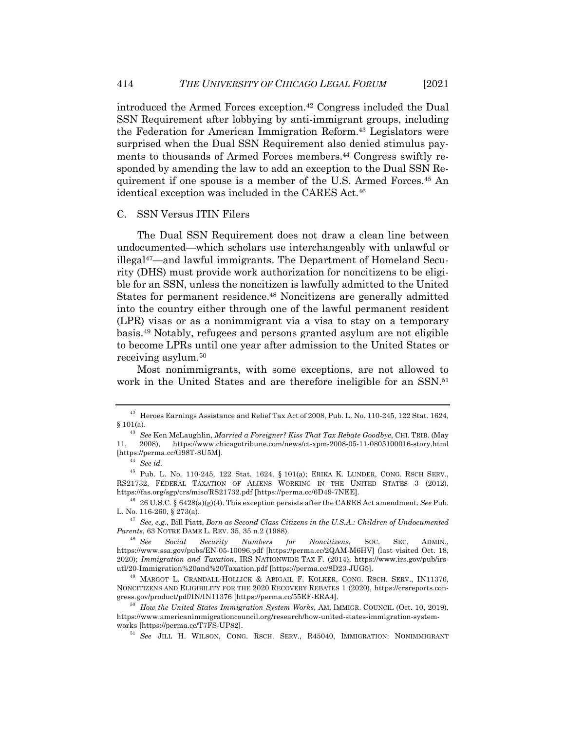introduced the Armed Forces exception.42 Congress included the Dual SSN Requirement after lobbying by anti-immigrant groups, including the Federation for American Immigration Reform.43 Legislators were surprised when the Dual SSN Requirement also denied stimulus payments to thousands of Armed Forces members.<sup>44</sup> Congress swiftly responded by amending the law to add an exception to the Dual SSN Requirement if one spouse is a member of the U.S. Armed Forces. <sup>45</sup> An identical exception was included in the CARES Act.<sup>46</sup>

#### C. SSN Versus ITIN Filers

The Dual SSN Requirement does not draw a clean line between undocumented—which scholars use interchangeably with unlawful or illegal47—and lawful immigrants. The Department of Homeland Security (DHS) must provide work authorization for noncitizens to be eligible for an SSN, unless the noncitizen is lawfully admitted to the United States for permanent residence.<sup>48</sup> Noncitizens are generally admitted into the country either through one of the lawful permanent resident (LPR) visas or as a nonimmigrant via a visa to stay on a temporary basis.49 Notably, refugees and persons granted asylum are not eligible to become LPRs until one year after admission to the United States or receiving asylum.50

Most nonimmigrants, with some exceptions, are not allowed to work in the United States and are therefore ineligible for an SSN.<sup>51</sup>

<sup>42</sup> Heroes Earnings Assistance and Relief Tax Act of 2008, Pub. L. No. 110-245, 122 Stat. 1624,  $§$ 101(a).

<sup>43</sup> *See* Ken McLaughlin, *Married a Foreigner? Kiss That Tax Rebate Goodbye*, CHI. TRIB. (May 11, 2008), https://www.chicagotribune.com/news/ct-xpm-2008-05-11-0805100016-story.html [https://perma.cc/G98T-8U5M].

<sup>44</sup> *See id.*

<sup>45</sup> Pub. L. No. 110-245, 122 Stat. 1624, § 101(a); ERIKA K. LUNDER, CONG. RSCH SERV., RS21732, FEDERAL TAXATION OF ALIENS WORKING IN THE UNITED STATES 3 (2012), https://fas.org/sgp/crs/misc/RS21732.pdf [https://perma.cc/6D49-7NEE].

<sup>46</sup> 26 U.S.C. § 6428(a)(g)(4). This exception persists after the CARES Act amendment. *See* Pub. L. No. 116-260, § 273(a).

<sup>47</sup> *See, e.g.*, Bill Piatt, *Born as Second Class Citizens in the U.S.A.: Children of Undocumented Parents*, 63 NOTRE DAME L. REV. 35, 35 n.2 (1988).

<sup>48</sup> *See Social Security Numbers for Noncitizens*, SOC. SEC. ADMIN., https://www.ssa.gov/pubs/EN-05-10096.pdf [https://perma.cc/2QAM-M6HV] (last visited Oct. 18, 2020); *Immigration and Taxation*, IRS NATIONWIDE TAX F. (2014), https://www.irs.gov/pub/irsutl/20-Immigration%20and%20Taxation.pdf [https://perma.cc/8D23-JUG5].

<sup>&</sup>lt;sup>49</sup> MARGOT L. CRANDALL-HOLLICK & ABIGAIL F. KOLKER, CONG. RSCH. SERV., IN11376, NONCITIZENS AND ELIGIBILITY FOR THE 2020 RECOVERY REBATES 1 (2020), https://crsreports.congress.gov/product/pdf/IN/IN11376 [https://perma.cc/55EF-ERA4].

<sup>50</sup> *How the United States Immigration System Works*, AM. IMMIGR. COUNCIL (Oct. 10, 2019), https://www.americanimmigrationcouncil.org/research/how-united-states-immigration-systemworks [https://perma.cc/T7FS-UP82].

<sup>51</sup> *See* JILL H. WILSON, CONG. RSCH. SERV., R45040, IMMIGRATION: NONIMMIGRANT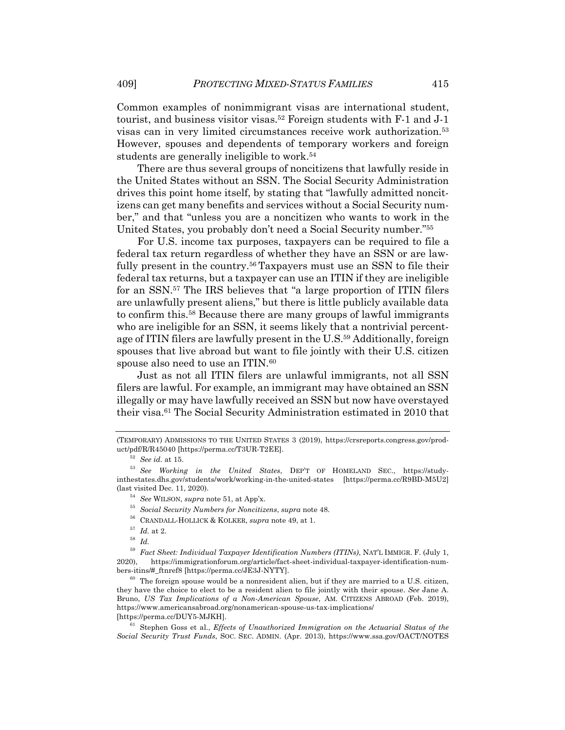Common examples of nonimmigrant visas are international student, tourist, and business visitor visas.52 Foreign students with F-1 and J-1 visas can in very limited circumstances receive work authorization.53 However, spouses and dependents of temporary workers and foreign students are generally ineligible to work.<sup>54</sup>

There are thus several groups of noncitizens that lawfully reside in the United States without an SSN. The Social Security Administration drives this point home itself, by stating that "lawfully admitted noncitizens can get many benefits and services without a Social Security number," and that "unless you are a noncitizen who wants to work in the United States, you probably don't need a Social Security number."55

For U.S. income tax purposes, taxpayers can be required to file a federal tax return regardless of whether they have an SSN or are lawfully present in the country.56 Taxpayers must use an SSN to file their federal tax returns, but a taxpayer can use an ITIN if they are ineligible for an SSN.57 The IRS believes that "a large proportion of ITIN filers are unlawfully present aliens," but there is little publicly available data to confirm this.58 Because there are many groups of lawful immigrants who are ineligible for an SSN, it seems likely that a nontrivial percentage of ITIN filers are lawfully present in the U.S.59 Additionally, foreign spouses that live abroad but want to file jointly with their U.S. citizen spouse also need to use an ITIN.<sup>60</sup>

Just as not all ITIN filers are unlawful immigrants, not all SSN filers are lawful. For example, an immigrant may have obtained an SSN illegally or may have lawfully received an SSN but now have overstayed their visa.61 The Social Security Administration estimated in 2010 that

<sup>(</sup>TEMPORARY) ADMISSIONS TO THE UNITED STATES 3 (2019), https://crsreports.congress.gov/product/pdf/R/R45040 [https://perma.cc/T3UR-T2EE].

<sup>52</sup> *See id.* at 15.

<sup>53</sup> *See Working in the United States*, DEP'T OF HOMELAND SEC., https://studyinthestates.dhs.gov/students/work/working-in-the-united-states [https://perma.cc/R9BD-M5U2] (last visited Dec. 11, 2020).

<sup>54</sup> *See* WILSON, *supra* note 51, at App'x.

<sup>55</sup> *Social Security Numbers for Noncitizens*, *supra* note 48.

<sup>56</sup> CRANDALL-HOLLICK & KOLKER, *supra* note 49, at 1.

 $^{57}$   $\,$   $Id.$  at 2.

<sup>58</sup> *Id.*

<sup>59</sup> *Fact Sheet: Individual Taxpayer Identification Numbers (ITINs)*, NAT'L IMMIGR. F. (July 1, 2020), https://immigrationforum.org/article/fact-sheet-individual-taxpayer-identification-numbers-itins/#\_ftnref8 [https://perma.cc/JE3J-NYTY].

 $60$  The foreign spouse would be a nonresident alien, but if they are married to a U.S. citizen, they have the choice to elect to be a resident alien to file jointly with their spouse. *See* Jane A. Bruno, *US Tax Implications of a Non-American Spouse*, AM. CITIZENS ABROAD (Feb. 2019), https://www.americansabroad.org/nonamerican-spouse-us-tax-implications/ [https://perma.cc/DUY5-MJKH].

<sup>61</sup> Stephen Goss et al., *Effects of Unauthorized Immigration on the Actuarial Status of the Social Security Trust Funds*, SOC. SEC. ADMIN. (Apr. 2013), https://www.ssa.gov/OACT/NOTES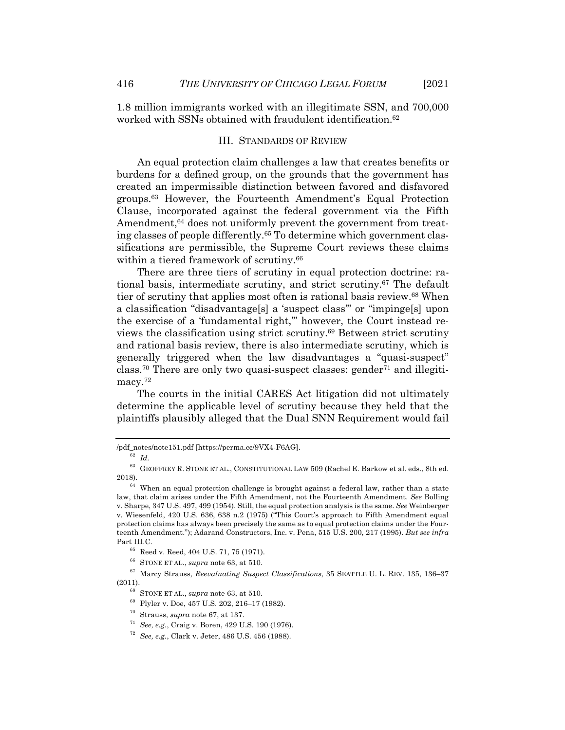1.8 million immigrants worked with an illegitimate SSN, and 700,000 worked with SSNs obtained with fraudulent identification.<sup>62</sup>

#### III. STANDARDS OF REVIEW

An equal protection claim challenges a law that creates benefits or burdens for a defined group, on the grounds that the government has created an impermissible distinction between favored and disfavored groups.63 However, the Fourteenth Amendment's Equal Protection Clause, incorporated against the federal government via the Fifth Amendment,<sup>64</sup> does not uniformly prevent the government from treating classes of people differently.65 To determine which government classifications are permissible, the Supreme Court reviews these claims within a tiered framework of scrutiny.<sup>66</sup>

There are three tiers of scrutiny in equal protection doctrine: rational basis, intermediate scrutiny, and strict scrutiny.67 The default tier of scrutiny that applies most often is rational basis review.68 When a classification "disadvantage[s] a 'suspect class'" or "impinge[s] upon the exercise of a 'fundamental right,'" however, the Court instead reviews the classification using strict scrutiny.69 Between strict scrutiny and rational basis review, there is also intermediate scrutiny, which is generally triggered when the law disadvantages a "quasi-suspect" class.70 There are only two quasi-suspect classes: gender71 and illegitimacy.<sup>72</sup>

The courts in the initial CARES Act litigation did not ultimately determine the applicable level of scrutiny because they held that the plaintiffs plausibly alleged that the Dual SNN Requirement would fail

<sup>/</sup>pdf\_notes/note151.pdf [https://perma.cc/9VX4-F6AG].

<sup>62</sup> *Id.*

 $^{63}\,$  GEOFFREY R. STONE ET AL., CONSTITUTIONAL LAW 509 (Rachel E. Barkow et al. eds., 8th ed. 2018).

 $64$  When an equal protection challenge is brought against a federal law, rather than a state law, that claim arises under the Fifth Amendment, not the Fourteenth Amendment. *See* Bolling v. Sharpe, 347 U.S. 497, 499 (1954). Still, the equal protection analysis is the same. *See* Weinberger v. Wiesenfeld, 420 U.S. 636, 638 n.2 (1975) ("This Court's approach to Fifth Amendment equal protection claims has always been precisely the same as to equal protection claims under the Fourteenth Amendment."); Adarand Constructors, Inc. v. Pena, 515 U.S. 200, 217 (1995). *But see infra* Part III.C.

<sup>65</sup> Reed v. Reed, 404 U.S. 71, 75 (1971).

 $^{66}\,$  STONE ET AL.,  $supra$  note 63, at 510.

<sup>67</sup> Marcy Strauss, *Reevaluating Suspect Classifications*, 35 SEATTLE U. L. REV. 135, 136–37 (2011).

<sup>68</sup> STONE ET AL., *supra* note 63, at 510.

<sup>69</sup> Plyler v. Doe, 457 U.S. 202, 216–17 (1982).

<sup>70</sup> Strauss, *supra* note 67, at 137.

<sup>71</sup> *See, e.g.*, Craig v. Boren, 429 U.S. 190 (1976).

<sup>72</sup> *See, e.g.*, Clark v. Jeter, 486 U.S. 456 (1988).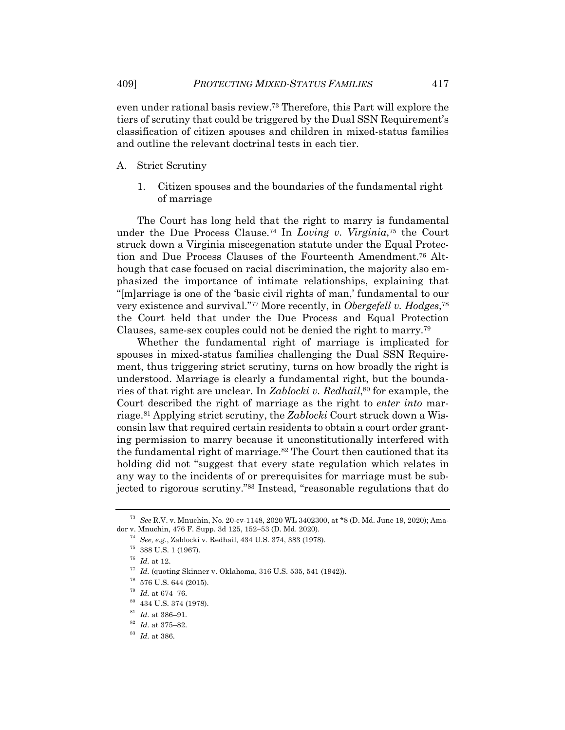even under rational basis review.73 Therefore, this Part will explore the tiers of scrutiny that could be triggered by the Dual SSN Requirement's classification of citizen spouses and children in mixed-status families and outline the relevant doctrinal tests in each tier.

#### A. Strict Scrutiny

1. Citizen spouses and the boundaries of the fundamental right of marriage

The Court has long held that the right to marry is fundamental under the Due Process Clause.74 In *Loving v. Virginia*, <sup>75</sup> the Court struck down a Virginia miscegenation statute under the Equal Protection and Due Process Clauses of the Fourteenth Amendment.76 Although that case focused on racial discrimination, the majority also emphasized the importance of intimate relationships, explaining that "[m]arriage is one of the 'basic civil rights of man,' fundamental to our very existence and survival."77 More recently, in *Obergefell v. Hodges*, 78 the Court held that under the Due Process and Equal Protection Clauses, same-sex couples could not be denied the right to marry.79

Whether the fundamental right of marriage is implicated for spouses in mixed-status families challenging the Dual SSN Requirement, thus triggering strict scrutiny, turns on how broadly the right is understood. Marriage is clearly a fundamental right, but the boundaries of that right are unclear. In *Zablocki v. Redhail*, <sup>80</sup> for example, the Court described the right of marriage as the right to *enter into* marriage.81 Applying strict scrutiny, the *Zablocki* Court struck down a Wisconsin law that required certain residents to obtain a court order granting permission to marry because it unconstitutionally interfered with the fundamental right of marriage.<sup>82</sup> The Court then cautioned that its holding did not "suggest that every state regulation which relates in any way to the incidents of or prerequisites for marriage must be subjected to rigorous scrutiny."83 Instead, "reasonable regulations that do

<sup>73</sup> *See* R.V. v. Mnuchin, No. 20-cv-1148, 2020 WL 3402300, at \*8 (D. Md. June 19, 2020); Amador v. Mnuchin, 476 F. Supp. 3d 125, 152–53 (D. Md. 2020).

<sup>74</sup> *See, e.g.*, Zablocki v. Redhail, 434 U.S. 374, 383 (1978).

 $^{75}\,$  388 U.S. 1 (1967).

<sup>76</sup> *Id.* at 12.

<sup>77</sup> *Id.* (quoting Skinner v. Oklahoma, 316 U.S. 535, 541 (1942)).

<sup>78</sup> 576 U.S. 644 (2015).

 $^{\rm 79}$   $\emph{Id.}$  at 674–76.

<sup>80</sup> 434 U.S. 374 (1978).

<sup>81</sup> *Id.* at 386–91.

<sup>82</sup> *Id.* at 375–82.

<sup>83</sup> *Id.* at 386.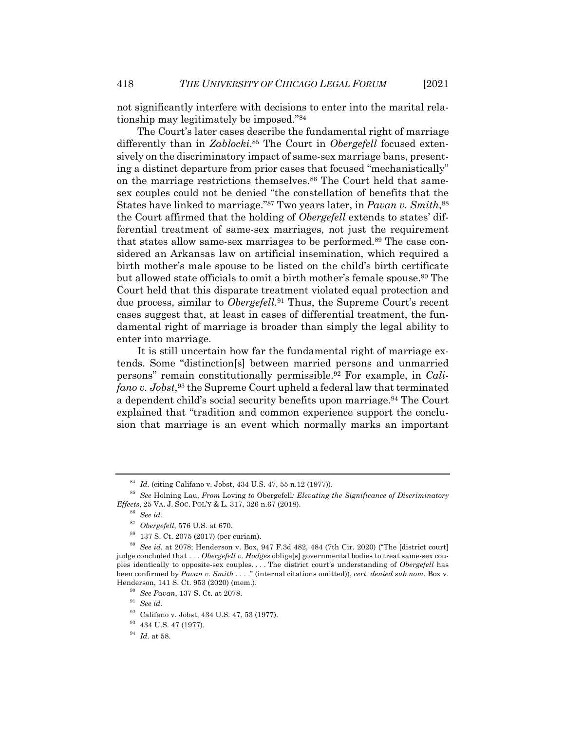not significantly interfere with decisions to enter into the marital relationship may legitimately be imposed."84

The Court's later cases describe the fundamental right of marriage differently than in *Zablocki*. <sup>85</sup> The Court in *Obergefell* focused extensively on the discriminatory impact of same-sex marriage bans, presenting a distinct departure from prior cases that focused "mechanistically" on the marriage restrictions themselves.<sup>86</sup> The Court held that samesex couples could not be denied "the constellation of benefits that the States have linked to marriage."87 Two years later, in *Pavan v. Smith*, 88 the Court affirmed that the holding of *Obergefell* extends to states' differential treatment of same-sex marriages, not just the requirement that states allow same-sex marriages to be performed.89 The case considered an Arkansas law on artificial insemination, which required a birth mother's male spouse to be listed on the child's birth certificate but allowed state officials to omit a birth mother's female spouse.90 The Court held that this disparate treatment violated equal protection and due process, similar to *Obergefell*. <sup>91</sup> Thus, the Supreme Court's recent cases suggest that, at least in cases of differential treatment, the fundamental right of marriage is broader than simply the legal ability to enter into marriage.

It is still uncertain how far the fundamental right of marriage extends. Some "distinction[s] between married persons and unmarried persons" remain constitutionally permissible.92 For example, in *Califano v. Jobst*, <sup>93</sup> the Supreme Court upheld a federal law that terminated a dependent child's social security benefits upon marriage.94 The Court explained that "tradition and common experience support the conclusion that marriage is an event which normally marks an important

<sup>84</sup> *Id.* (citing Califano v. Jobst, 434 U.S. 47, 55 n.12 (1977)).

<sup>85</sup> *See* Holning Lau, *From* Loving *to* Obergefell*: Elevating the Significance of Discriminatory Effects*, 25 VA. J. SOC. POL'Y & L. 317, 326 n.67 (2018).

<sup>86</sup> *See id.*

<sup>87</sup> *Obergefell*, 576 U.S. at 670.

<sup>88</sup> 137 S. Ct. 2075 (2017) (per curiam).

<sup>89</sup> *See id.* at 2078; Henderson v. Box, 947 F.3d 482, 484 (7th Cir. 2020) ("The [district court] judge concluded that . . . *Obergefell v. Hodges* oblige[s] governmental bodies to treat same-sex couples identically to opposite-sex couples. . . . The district court's understanding of *Obergefell* has been confirmed by *Pavan v. Smith* . . . ." (internal citations omitted)), *cert. denied sub nom.* Box v. Henderson, 141 S. Ct. 953 (2020) (mem.).

<sup>90</sup> *See Pavan*, 137 S. Ct. at 2078.

<sup>91</sup> *See id.*

 $^{92}\,$  Califano v. Jobst, 434 U.S. 47, 53 (1977).

<sup>93</sup> 434 U.S. 47 (1977).

<sup>94</sup> *Id.* at 58.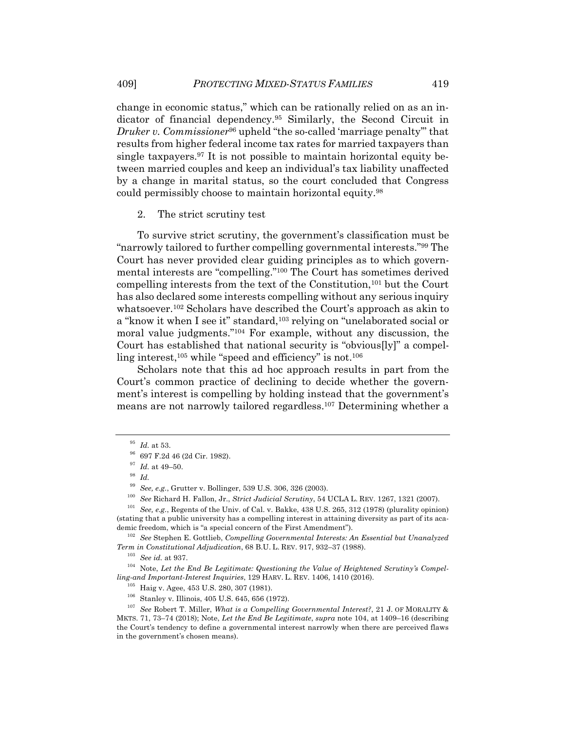change in economic status," which can be rationally relied on as an indicator of financial dependency.95 Similarly, the Second Circuit in *Druker v. Commissioner*<sup>96</sup> upheld "the so-called 'marriage penalty'" that results from higher federal income tax rates for married taxpayers than single taxpayers.97 It is not possible to maintain horizontal equity between married couples and keep an individual's tax liability unaffected by a change in marital status, so the court concluded that Congress could permissibly choose to maintain horizontal equity.98

#### 2. The strict scrutiny test

To survive strict scrutiny, the government's classification must be "narrowly tailored to further compelling governmental interests."99 The Court has never provided clear guiding principles as to which governmental interests are "compelling."100 The Court has sometimes derived compelling interests from the text of the Constitution,<sup>101</sup> but the Court has also declared some interests compelling without any serious inquiry whatsoever.102 Scholars have described the Court's approach as akin to a "know it when I see it" standard,<sup>103</sup> relying on "unelaborated social or moral value judgments."104 For example, without any discussion, the Court has established that national security is "obvious[ly]" a compelling interest, $105$  while "speed and efficiency" is not. $106$ 

Scholars note that this ad hoc approach results in part from the Court's common practice of declining to decide whether the government's interest is compelling by holding instead that the government's means are not narrowly tailored regardless.107 Determining whether a

<sup>100</sup> *See* Richard H. Fallon, Jr., *Strict Judicial Scrutiny*, 54 UCLA L. REV. 1267, 1321 (2007).

<sup>101</sup> *See, e.g.*, Regents of the Univ. of Cal. v. Bakke, 438 U.S. 265, 312 (1978) (plurality opinion) (stating that a public university has a compelling interest in attaining diversity as part of its academic freedom, which is "a special concern of the First Amendment").

<sup>102</sup> *See* Stephen E. Gottlieb, *Compelling Governmental Interests: An Essential but Unanalyzed Term in Constitutional Adjudication*, 68 B.U. L. REV. 917, 932–37 (1988).

<sup>103</sup> *See id.* at 937.

<sup>104</sup> Note, *Let the End Be Legitimate: Questioning the Value of Heightened Scrutiny's Compelling-and Important-Interest Inquiries*, 129 HARV. L. REV. 1406, 1410 (2016).

<sup>105</sup> Haig v. Agee, 453 U.S. 280, 307 (1981).

<sup>106</sup> Stanley v. Illinois, 405 U.S. 645, 656 (1972).

<sup>107</sup> *See* Robert T. Miller, *What is a Compelling Governmental Interest?*, 21 J. OF MORALITY & MKTS. 71, 73–74 (2018); Note, *Let the End Be Legitimate*, *supra* note 104, at 1409–16 (describing the Court's tendency to define a governmental interest narrowly when there are perceived flaws in the government's chosen means).

<sup>95</sup> *Id.* at 53.

<sup>96</sup> 697 F.2d 46 (2d Cir. 1982).

 $^{97}$   $\,$   $\!d.$  at 49–50.

<sup>98</sup> *Id.*

<sup>99</sup> *See, e.g.*, Grutter v. Bollinger, 539 U.S. 306, 326 (2003).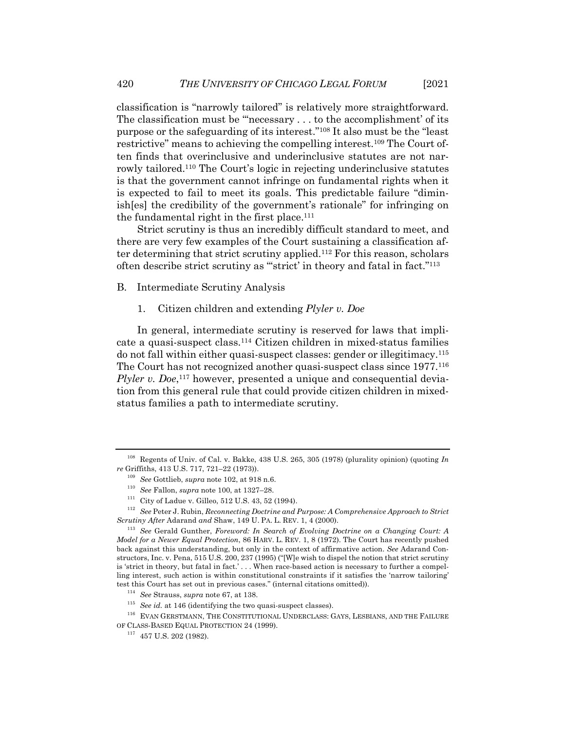classification is "narrowly tailored" is relatively more straightforward. The classification must be "'necessary . . . to the accomplishment' of its purpose or the safeguarding of its interest."108 It also must be the "least restrictive" means to achieving the compelling interest.109 The Court often finds that overinclusive and underinclusive statutes are not narrowly tailored.110 The Court's logic in rejecting underinclusive statutes is that the government cannot infringe on fundamental rights when it is expected to fail to meet its goals. This predictable failure "diminish[es] the credibility of the government's rationale" for infringing on the fundamental right in the first place.<sup>111</sup>

Strict scrutiny is thus an incredibly difficult standard to meet, and there are very few examples of the Court sustaining a classification after determining that strict scrutiny applied.112 For this reason, scholars often describe strict scrutiny as ""strict' in theory and fatal in fact."<sup>113</sup>

#### B. Intermediate Scrutiny Analysis

1. Citizen children and extending *Plyler v. Doe*

In general, intermediate scrutiny is reserved for laws that implicate a quasi-suspect class.114 Citizen children in mixed-status families do not fall within either quasi-suspect classes: gender or illegitimacy.115 The Court has not recognized another quasi-suspect class since 1977.116 Plyler v. Doe,<sup>117</sup> however, presented a unique and consequential deviation from this general rule that could provide citizen children in mixedstatus families a path to intermediate scrutiny.

<sup>108</sup> Regents of Univ. of Cal. v. Bakke, 438 U.S. 265, 305 (1978) (plurality opinion) (quoting *In re* Griffiths, 413 U.S. 717, 721–22 (1973)).

<sup>109</sup> *See* Gottlieb, *supra* note 102, at 918 n.6.

<sup>110</sup> *See* Fallon, *supra* note 100, at 1327–28.

<sup>111</sup> City of Ladue v. Gilleo, 512 U.S. 43, 52 (1994).

<sup>112</sup> *See* Peter J. Rubin, *Reconnecting Doctrine and Purpose: A Comprehensive Approach to Strict Scrutiny After* Adarand *and* Shaw, 149 U. PA. L. REV. 1, 4 (2000).

<sup>113</sup> *See* Gerald Gunther, *Foreword: In Search of Evolving Doctrine on a Changing Court: A Model for a Newer Equal Protection*, 86 HARV. L. REV. 1, 8 (1972). The Court has recently pushed back against this understanding, but only in the context of affirmative action. *See* Adarand Constructors, Inc. v. Pena, 515 U.S. 200, 237 (1995) ("[W]e wish to dispel the notion that strict scrutiny is 'strict in theory, but fatal in fact.' . . . When race-based action is necessary to further a compelling interest, such action is within constitutional constraints if it satisfies the 'narrow tailoring' test this Court has set out in previous cases." (internal citations omitted)).

<sup>114</sup> *See* Strauss, *supra* note 67, at 138.

<sup>115</sup> *See id.* at 146 (identifying the two quasi-suspect classes).

<sup>116</sup> EVAN GERSTMANN, THE CONSTITUTIONAL UNDERCLASS: GAYS, LESBIANS, AND THE FAILURE OF CLASS-BASED EQUAL PROTECTION 24 (1999).

 $^{117}\,$  457 U.S. 202 (1982).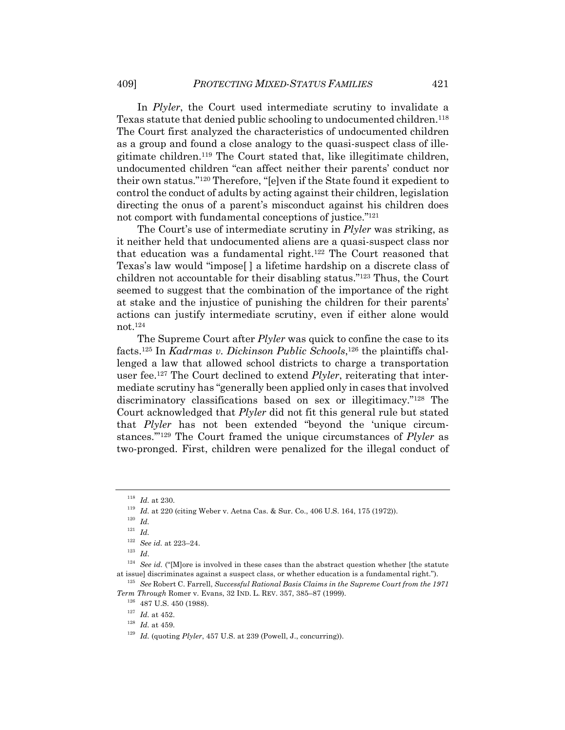In *Plyler*, the Court used intermediate scrutiny to invalidate a Texas statute that denied public schooling to undocumented children.118 The Court first analyzed the characteristics of undocumented children as a group and found a close analogy to the quasi-suspect class of illegitimate children.119 The Court stated that, like illegitimate children, undocumented children "can affect neither their parents' conduct nor their own status."120 Therefore, "[e]ven if the State found it expedient to control the conduct of adults by acting against their children, legislation directing the onus of a parent's misconduct against his children does not comport with fundamental conceptions of justice."121

The Court's use of intermediate scrutiny in *Plyler* was striking, as it neither held that undocumented aliens are a quasi-suspect class nor that education was a fundamental right.122 The Court reasoned that Texas's law would "impose[ ] a lifetime hardship on a discrete class of children not accountable for their disabling status."123 Thus, the Court seemed to suggest that the combination of the importance of the right at stake and the injustice of punishing the children for their parents' actions can justify intermediate scrutiny, even if either alone would not.124

The Supreme Court after *Plyler* was quick to confine the case to its facts.125 In *Kadrmas v. Dickinson Public Schools*, <sup>126</sup> the plaintiffs challenged a law that allowed school districts to charge a transportation user fee.127 The Court declined to extend *Plyler*, reiterating that intermediate scrutiny has "generally been applied only in cases that involved discriminatory classifications based on sex or illegitimacy."128 The Court acknowledged that *Plyler* did not fit this general rule but stated that *Plyler* has not been extended "beyond the 'unique circumstances.'"129 The Court framed the unique circumstances of *Plyler* as two-pronged. First, children were penalized for the illegal conduct of

 $^{118}\,$   $Id.\,$  at 230.

<sup>119</sup> *Id.* at 220 (citing Weber v. Aetna Cas. & Sur. Co., 406 U.S. 164, 175 (1972)).

<sup>120</sup> *Id.*

<sup>121</sup> *Id.*

<sup>122</sup> *See id.* at 223–24.

<sup>123</sup> *Id*.

<sup>124</sup> *See id.* ("[M]ore is involved in these cases than the abstract question whether [the statute at issue] discriminates against a suspect class, or whether education is a fundamental right.").

<sup>125</sup> *See* Robert C. Farrell, *Successful Rational Basis Claims in the Supreme Court from the 1971 Term Through* Romer v. Evans, 32 IND. L. REV. 357, 385–87 (1999).

 $^{126}\,$  487 U.S. 450 (1988).

<sup>127</sup> *Id.* at 452.

<sup>128</sup> *Id.* at 459.

<sup>&</sup>lt;sup>129</sup> *Id.* (quoting *Plyler*, 457 U.S. at 239 (Powell, J., concurring)).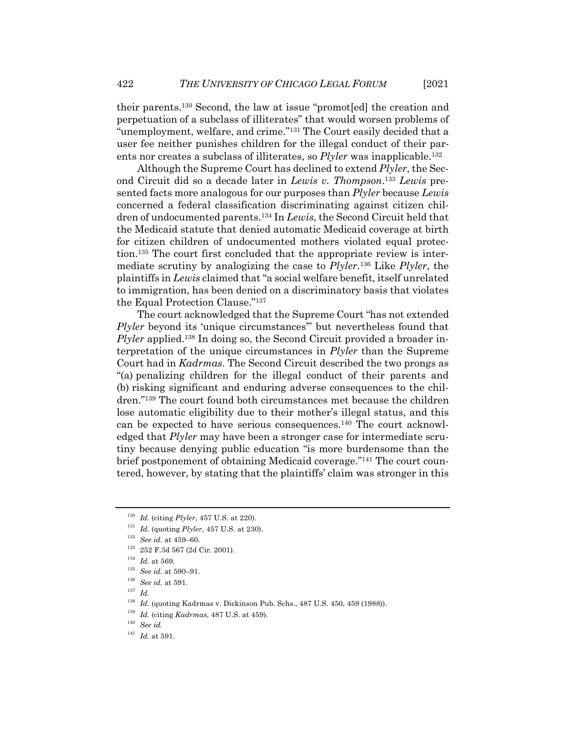their parents.130 Second, the law at issue "promot[ed] the creation and perpetuation of a subclass of illiterates" that would worsen problems of "unemployment, welfare, and crime."131 The Court easily decided that a user fee neither punishes children for the illegal conduct of their parents nor creates a subclass of illiterates, so *Plyler* was inapplicable.132

Although the Supreme Court has declined to extend *Plyler*, the Second Circuit did so a decade later in *Lewis v. Thompson*. <sup>133</sup> *Lewis* presented facts more analogous for our purposes than *Plyler* because *Lewis* concerned a federal classification discriminating against citizen children of undocumented parents.134 In *Lewis*, the Second Circuit held that the Medicaid statute that denied automatic Medicaid coverage at birth for citizen children of undocumented mothers violated equal protection.135 The court first concluded that the appropriate review is intermediate scrutiny by analogizing the case to *Plyler*.136 Like *Plyler*, the plaintiffs in *Lewis* claimed that "a social welfare benefit, itself unrelated to immigration, has been denied on a discriminatory basis that violates the Equal Protection Clause."137

The court acknowledged that the Supreme Court "has not extended *Plyler* beyond its 'unique circumstances'" but nevertheless found that *Plyler* applied.<sup>138</sup> In doing so, the Second Circuit provided a broader interpretation of the unique circumstances in *Plyler* than the Supreme Court had in *Kadrmas*. The Second Circuit described the two prongs as "(a) penalizing children for the illegal conduct of their parents and (b) risking significant and enduring adverse consequences to the children."139 The court found both circumstances met because the children lose automatic eligibility due to their mother's illegal status, and this can be expected to have serious consequences.140 The court acknowledged that *Plyler* may have been a stronger case for intermediate scrutiny because denying public education "is more burdensome than the brief postponement of obtaining Medicaid coverage."141 The court countered, however, by stating that the plaintiffs' claim was stronger in this

<sup>130</sup> *Id.* (citing *Plyler*, 457 U.S. at 220).

<sup>131</sup> *Id.* (quoting *Plyler*, 457 U.S. at 230).

<sup>132</sup> *See id.* at 459–60.

<sup>133</sup> 252 F.3d 567 (2d Cir. 2001).

<sup>134</sup> *Id.* at 569.

<sup>135</sup> *See id.* at 590–91.

<sup>136</sup> *See id.* at 591.

<sup>137</sup> *Id.*

<sup>&</sup>lt;sup>138</sup> *Id.* (quoting Kadrmas v. Dickinson Pub. Schs., 487 U.S. 450, 459 (1988)).

<sup>139</sup> *Id.* (citing *Kadrmas*, 487 U.S. at 459).

<sup>140</sup> *See id.*

<sup>141</sup> *Id.* at 591.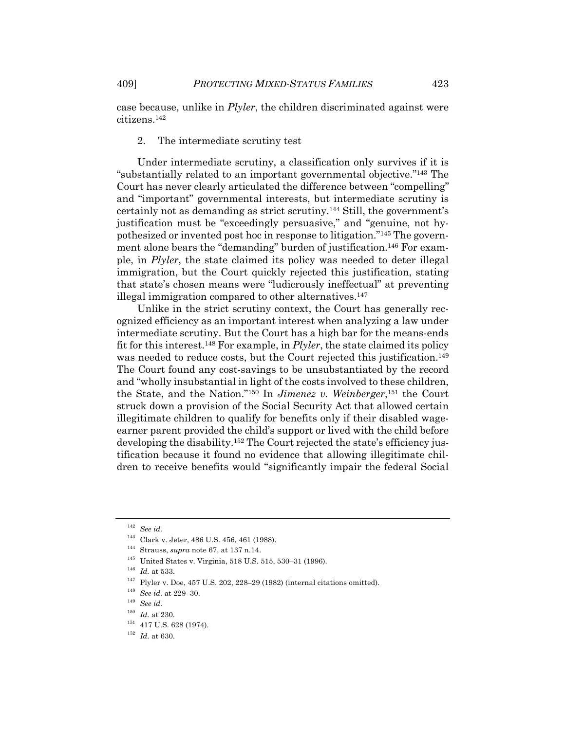case because, unlike in *Plyler*, the children discriminated against were citizens.142

#### 2. The intermediate scrutiny test

Under intermediate scrutiny, a classification only survives if it is "substantially related to an important governmental objective."143 The Court has never clearly articulated the difference between "compelling" and "important" governmental interests, but intermediate scrutiny is certainly not as demanding as strict scrutiny.144 Still, the government's justification must be "exceedingly persuasive," and "genuine, not hypothesized or invented post hoc in response to litigation."145 The government alone bears the "demanding" burden of justification.146 For example, in *Plyler*, the state claimed its policy was needed to deter illegal immigration, but the Court quickly rejected this justification, stating that state's chosen means were "ludicrously ineffectual" at preventing illegal immigration compared to other alternatives.<sup>147</sup>

Unlike in the strict scrutiny context, the Court has generally recognized efficiency as an important interest when analyzing a law under intermediate scrutiny. But the Court has a high bar for the means-ends fit for this interest.148 For example, in *Plyler*, the state claimed its policy was needed to reduce costs, but the Court rejected this justification.<sup>149</sup> The Court found any cost-savings to be unsubstantiated by the record and "wholly insubstantial in light of the costs involved to these children, the State, and the Nation."150 In *Jimenez v. Weinberger*, <sup>151</sup> the Court struck down a provision of the Social Security Act that allowed certain illegitimate children to qualify for benefits only if their disabled wageearner parent provided the child's support or lived with the child before developing the disability.152 The Court rejected the state's efficiency justification because it found no evidence that allowing illegitimate children to receive benefits would "significantly impair the federal Social

<sup>142</sup> *See id.*

<sup>143</sup> Clark v. Jeter, 486 U.S. 456, 461 (1988).

<sup>144</sup> Strauss, *supra* note 67, at 137 n.14.

<sup>145</sup> United States v. Virginia, 518 U.S. 515, 530–31 (1996).

<sup>146</sup> *Id.* at 533.

 $147$  Plyler v. Doe,  $457$  U.S.  $202$ ,  $228-29$  (1982) (internal citations omitted).

<sup>148</sup> *See id.* at 229–30.

<sup>149</sup> *See id.*

 $150$  *Id.* at 230.

 $^{151}\,$  417 U.S. 628 (1974).

 $^{152}\,$   $Id.\; {\rm at}\; 630.$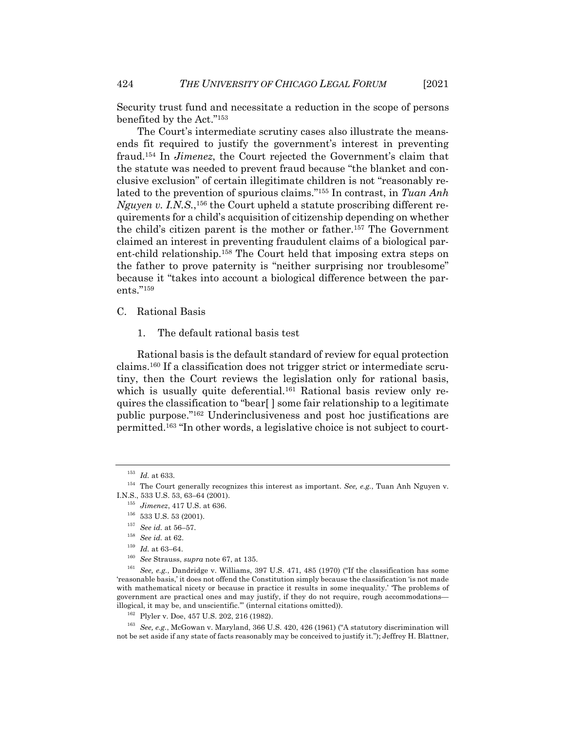Security trust fund and necessitate a reduction in the scope of persons benefited by the Act."153

The Court's intermediate scrutiny cases also illustrate the meansends fit required to justify the government's interest in preventing fraud.154 In *Jimenez*, the Court rejected the Government's claim that the statute was needed to prevent fraud because "the blanket and conclusive exclusion" of certain illegitimate children is not "reasonably related to the prevention of spurious claims."155 In contrast, in *Tuan Anh*  Nguyen v. I.N.S.,<sup>156</sup> the Court upheld a statute proscribing different requirements for a child's acquisition of citizenship depending on whether the child's citizen parent is the mother or father.157 The Government claimed an interest in preventing fraudulent claims of a biological parent-child relationship.158 The Court held that imposing extra steps on the father to prove paternity is "neither surprising nor troublesome" because it "takes into account a biological difference between the parents."159

- C. Rational Basis
	- 1. The default rational basis test

Rational basis is the default standard of review for equal protection claims.160 If a classification does not trigger strict or intermediate scrutiny, then the Court reviews the legislation only for rational basis, which is usually quite deferential.<sup>161</sup> Rational basis review only requires the classification to "bear[ ] some fair relationship to a legitimate public purpose."162 Underinclusiveness and post hoc justifications are permitted.163 "In other words, a legislative choice is not subject to court-

<sup>153</sup> *Id.* at 633.

<sup>154</sup> The Court generally recognizes this interest as important. *See, e.g.*, Tuan Anh Nguyen v. I.N.S., 533 U.S. 53, 63–64 (2001).

<sup>155</sup> *Jimenez*, 417 U.S. at 636.

 $^{156}\,$  533 U.S. 53 (2001).

<sup>157</sup> *See id.* at 56–57.

<sup>158</sup> *See id.* at 62.

 $^{159}\,$   $Id.\,$  at 63–64.

<sup>160</sup> *See* Strauss, *supra* note 67, at 135.

<sup>161</sup> *See, e.g.*, Dandridge v. Williams, 397 U.S. 471, 485 (1970) ("If the classification has some 'reasonable basis,' it does not offend the Constitution simply because the classification 'is not made with mathematical nicety or because in practice it results in some inequality.' 'The problems of government are practical ones and may justify, if they do not require, rough accommodations illogical, it may be, and unscientific.'" (internal citations omitted)).

<sup>162</sup> Plyler v. Doe, 457 U.S. 202, 216 (1982).

<sup>163</sup> *See, e.g.*, McGowan v. Maryland, 366 U.S. 420, 426 (1961) ("A statutory discrimination will not be set aside if any state of facts reasonably may be conceived to justify it."); Jeffrey H. Blattner,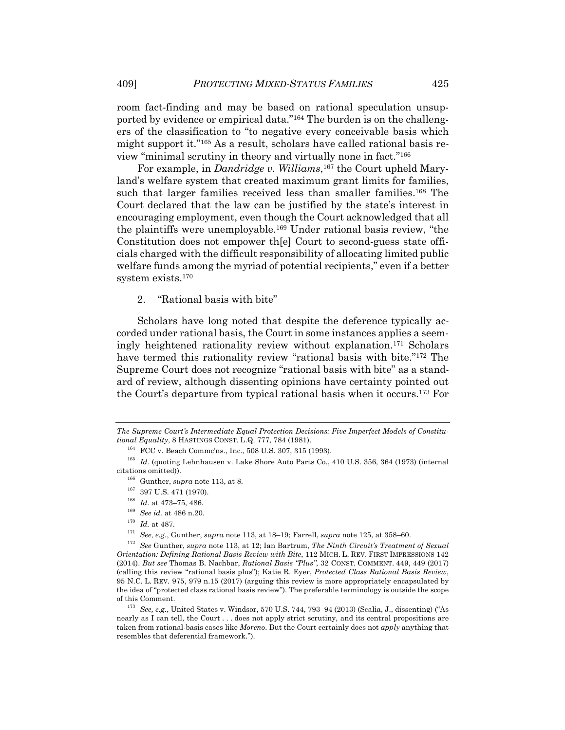room fact-finding and may be based on rational speculation unsupported by evidence or empirical data."164 The burden is on the challengers of the classification to "to negative every conceivable basis which might support it."165 As a result, scholars have called rational basis review "minimal scrutiny in theory and virtually none in fact."166

For example, in *Dandridge v. Williams*, <sup>167</sup> the Court upheld Maryland's welfare system that created maximum grant limits for families, such that larger families received less than smaller families.<sup>168</sup> The Court declared that the law can be justified by the state's interest in encouraging employment, even though the Court acknowledged that all the plaintiffs were unemployable.169 Under rational basis review, "the Constitution does not empower th[e] Court to second-guess state officials charged with the difficult responsibility of allocating limited public welfare funds among the myriad of potential recipients," even if a better system exists.170

2. "Rational basis with bite"

Scholars have long noted that despite the deference typically accorded under rational basis, the Court in some instances applies a seemingly heightened rationality review without explanation.171 Scholars have termed this rationality review "rational basis with bite."172 The Supreme Court does not recognize "rational basis with bite" as a standard of review, although dissenting opinions have certainty pointed out the Court's departure from typical rational basis when it occurs.173 For

*The Supreme Court's Intermediate Equal Protection Decisions: Five Imperfect Models of Constitutional Equality*, 8 HASTINGS CONST. L.Q. 777, 784 (1981).

<sup>164</sup> FCC v. Beach Commc'ns., Inc., 508 U.S. 307, 315 (1993).

 $^{165}$   $\emph{Id.}$  (quoting Lehnhausen v. Lake Shore Auto Parts Co., 410 U.S. 356, 364 (1973) (internal citations omitted)).

 $^{166}\,$  Gunther,  $supra$  note 113, at 8.

 $167$  397 U.S. 471 (1970).

<sup>168</sup> *Id.* at 473–75, 486.

<sup>169</sup> *See id.* at 486 n.20.

 $^{170}\,$   $Id.\,$  at 487.

<sup>171</sup> *See, e.g.*, Gunther, *supra* note 113, at 18–19; Farrell, *supra* note 125, at 358–60.

<sup>172</sup> *See* Gunther, *supra* note 113, at 12; Ian Bartrum, *The Ninth Circuit's Treatment of Sexual Orientation: Defining Rational Basis Review with Bite*, 112 MICH. L. REV. FIRST IMPRESSIONS 142 (2014). *But see* Thomas B. Nachbar, *Rational Basis "Plus"*, 32 CONST. COMMENT. 449, 449 (2017) (calling this review "rational basis plus"); Katie R. Eyer, *Protected Class Rational Basis Review*, 95 N.C. L. REV. 975, 979 n.15 (2017) (arguing this review is more appropriately encapsulated by the idea of "protected class rational basis review"). The preferable terminology is outside the scope of this Comment.

<sup>173</sup> *See, e.g.*, United States v. Windsor, 570 U.S. 744, 793–94 (2013) (Scalia, J., dissenting) ("As nearly as I can tell, the Court . . . does not apply strict scrutiny, and its central propositions are taken from rational-basis cases like *Moreno*. But the Court certainly does not *apply* anything that resembles that deferential framework.").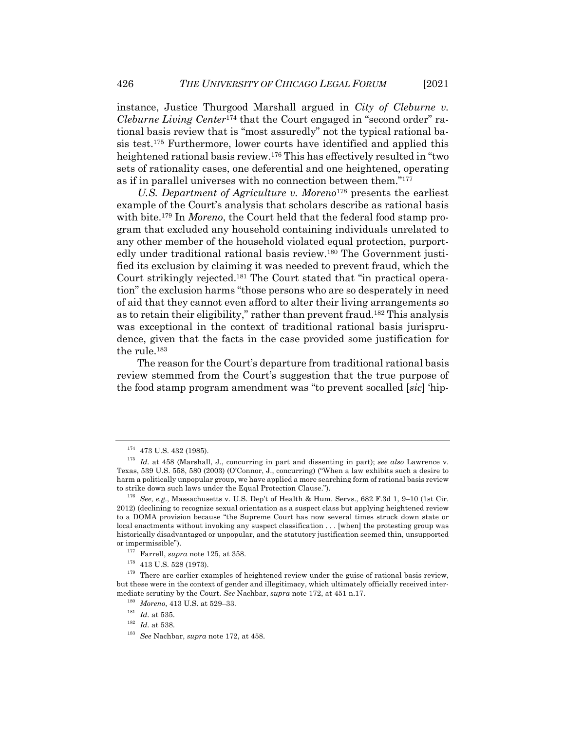instance, Justice Thurgood Marshall argued in *City of Cleburne v. Cleburne Living Center*<sup>174</sup> that the Court engaged in "second order" rational basis review that is "most assuredly" not the typical rational basis test.175 Furthermore, lower courts have identified and applied this heightened rational basis review.176 This has effectively resulted in "two sets of rationality cases, one deferential and one heightened, operating as if in parallel universes with no connection between them."177

*U.S. Department of Agriculture v. Moreno*<sup>178</sup> presents the earliest example of the Court's analysis that scholars describe as rational basis with bite.<sup>179</sup> In *Moreno*, the Court held that the federal food stamp program that excluded any household containing individuals unrelated to any other member of the household violated equal protection, purportedly under traditional rational basis review.180 The Government justified its exclusion by claiming it was needed to prevent fraud, which the Court strikingly rejected.181 The Court stated that "in practical operation" the exclusion harms "those persons who are so desperately in need of aid that they cannot even afford to alter their living arrangements so as to retain their eligibility," rather than prevent fraud.182 This analysis was exceptional in the context of traditional rational basis jurisprudence, given that the facts in the case provided some justification for the rule.183

The reason for the Court's departure from traditional rational basis review stemmed from the Court's suggestion that the true purpose of the food stamp program amendment was "to prevent socalled [*sic*] 'hip-

 $174$  473 U.S. 432 (1985).

<sup>175</sup> *Id.* at 458 (Marshall, J., concurring in part and dissenting in part); *see also* Lawrence v. Texas, 539 U.S. 558, 580 (2003) (O'Connor, J., concurring) ("When a law exhibits such a desire to harm a politically unpopular group, we have applied a more searching form of rational basis review to strike down such laws under the Equal Protection Clause.").

<sup>176</sup> *See, e.g.*, Massachusetts v. U.S. Dep't of Health & Hum. Servs., 682 F.3d 1, 9–10 (1st Cir. 2012) (declining to recognize sexual orientation as a suspect class but applying heightened review to a DOMA provision because "the Supreme Court has now several times struck down state or local enactments without invoking any suspect classification . . . [when] the protesting group was historically disadvantaged or unpopular, and the statutory justification seemed thin, unsupported or impermissible").

<sup>177</sup> Farrell, *supra* note 125, at 358.

 $^{178}\,$  413 U.S. 528 (1973).

<sup>&</sup>lt;sup>179</sup> There are earlier examples of heightened review under the guise of rational basis review, but these were in the context of gender and illegitimacy, which ultimately officially received intermediate scrutiny by the Court. *See* Nachbar, *supra* note 172, at 451 n.17.

<sup>180</sup> *Moreno*, 413 U.S. at 529–33.

 $181$  *Id.* at 535.

<sup>182</sup> *Id.* at 538.

<sup>183</sup> *See* Nachbar, *supra* note 172, at 458.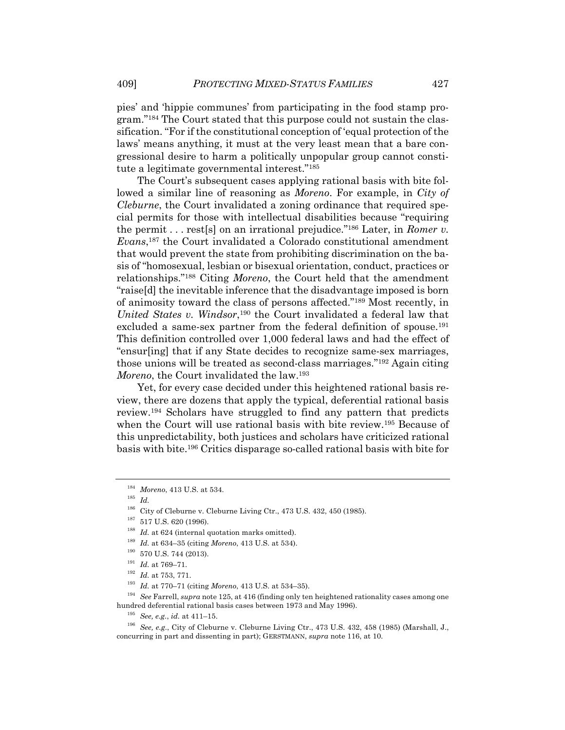pies' and 'hippie communes' from participating in the food stamp program."184 The Court stated that this purpose could not sustain the classification. "For if the constitutional conception of 'equal protection of the laws' means anything, it must at the very least mean that a bare congressional desire to harm a politically unpopular group cannot constitute a legitimate governmental interest."185

The Court's subsequent cases applying rational basis with bite followed a similar line of reasoning as *Moreno*. For example, in *City of Cleburne*, the Court invalidated a zoning ordinance that required special permits for those with intellectual disabilities because "requiring the permit . . . rest[s] on an irrational prejudice."186 Later, in *Romer v. Evans*, <sup>187</sup> the Court invalidated a Colorado constitutional amendment that would prevent the state from prohibiting discrimination on the basis of "homosexual, lesbian or bisexual orientation, conduct, practices or relationships."188 Citing *Moreno*, the Court held that the amendment "raise[d] the inevitable inference that the disadvantage imposed is born of animosity toward the class of persons affected."189 Most recently, in *United States v. Windsor*, <sup>190</sup> the Court invalidated a federal law that excluded a same-sex partner from the federal definition of spouse.<sup>191</sup> This definition controlled over 1,000 federal laws and had the effect of "ensur[ing] that if any State decides to recognize same-sex marriages, those unions will be treated as second-class marriages."192 Again citing *Moreno*, the Court invalidated the law.193

Yet, for every case decided under this heightened rational basis review, there are dozens that apply the typical, deferential rational basis review.194 Scholars have struggled to find any pattern that predicts when the Court will use rational basis with bite review.<sup>195</sup> Because of this unpredictability, both justices and scholars have criticized rational basis with bite.196 Critics disparage so-called rational basis with bite for

<sup>185</sup> *Id.*

<sup>184</sup> *Moreno*, 413 U.S. at 534.

<sup>&</sup>lt;sup>186</sup> City of Cleburne v. Cleburne Living Ctr., 473 U.S. 432, 450 (1985).

 $^{187}$  517 U.S. 620 (1996).

<sup>&</sup>lt;sup>188</sup> *Id.* at 624 (internal quotation marks omitted).

<sup>189</sup> *Id.* at 634–35 (citing *Moreno*, 413 U.S. at 534).

 $^{190}\,$  570 U.S. 744 (2013).

 $^{191}$   $\emph{Id.}$  at 769–71.

<sup>192</sup> *Id.* at 753, 771.

<sup>193</sup> *Id.* at 770–71 (citing *Moreno*, 413 U.S. at 534–35).

<sup>194</sup> *See* Farrell, *supra* note 125, at 416 (finding only ten heightened rationality cases among one hundred deferential rational basis cases between 1973 and May 1996).

<sup>195</sup> *See, e.g.*, *id.* at 411–15.

<sup>196</sup> *See, e.g.*, City of Cleburne v. Cleburne Living Ctr., 473 U.S. 432, 458 (1985) (Marshall, J., concurring in part and dissenting in part); GERSTMANN, *supra* note 116, at 10.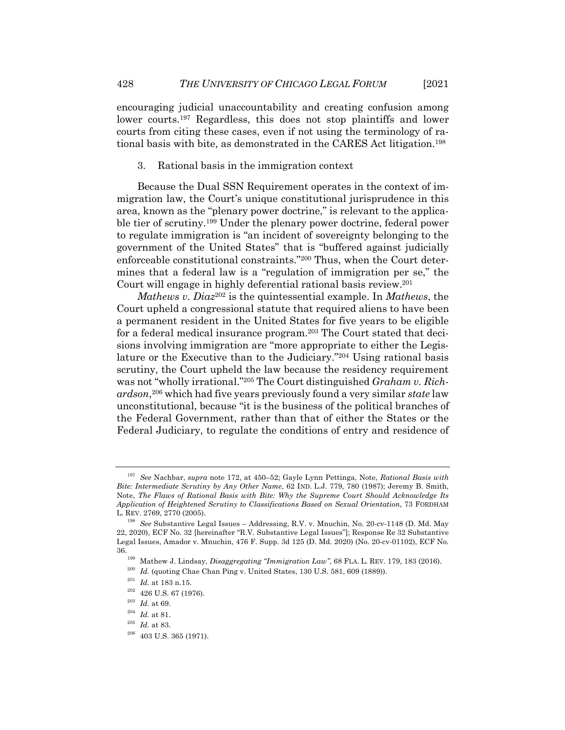encouraging judicial unaccountability and creating confusion among lower courts.197 Regardless, this does not stop plaintiffs and lower courts from citing these cases, even if not using the terminology of rational basis with bite, as demonstrated in the CARES Act litigation.198

3. Rational basis in the immigration context

Because the Dual SSN Requirement operates in the context of immigration law, the Court's unique constitutional jurisprudence in this area, known as the "plenary power doctrine," is relevant to the applicable tier of scrutiny.199 Under the plenary power doctrine, federal power to regulate immigration is "an incident of sovereignty belonging to the government of the United States" that is "buffered against judicially enforceable constitutional constraints."200 Thus, when the Court determines that a federal law is a "regulation of immigration per se," the Court will engage in highly deferential rational basis review.201

*Mathews v. Diaz*<sup>202</sup> is the quintessential example. In *Mathews*, the Court upheld a congressional statute that required aliens to have been a permanent resident in the United States for five years to be eligible for a federal medical insurance program.203 The Court stated that decisions involving immigration are "more appropriate to either the Legislature or the Executive than to the Judiciary."204 Using rational basis scrutiny, the Court upheld the law because the residency requirement was not "wholly irrational."205 The Court distinguished *Graham v. Richardson*,206 which had five years previously found a very similar *state* law unconstitutional, because "it is the business of the political branches of the Federal Government, rather than that of either the States or the Federal Judiciary, to regulate the conditions of entry and residence of

<sup>197</sup> *See* Nachbar, *supra* note 172, at 450–52; Gayle Lynn Pettinga, Note, *Rational Basis with Bite: Intermediate Scrutiny by Any Other Name*, 62 IND. L.J. 779, 780 (1987); Jeremy B. Smith, Note, *The Flaws of Rational Basis with Bite: Why the Supreme Court Should Acknowledge Its Application of Heightened Scrutiny to Classifications Based on Sexual Orientation*, 73 FORDHAM L. REV. 2769, 2770 (2005).

<sup>198</sup> *See* Substantive Legal Issues – Addressing, R.V. v. Mnuchin, No. 20-cv-1148 (D. Md. May 22, 2020), ECF No. 32 [hereinafter "R.V. Substantive Legal Issues"]; Response Re 32 Substantive Legal Issues, Amador v. Mnuchin, 476 F. Supp. 3d 125 (D. Md. 2020) (No. 20-cv-01102), ECF No.

<sup>36.199</sup> Mathew J. Lindsay, *Disaggregating "Immigration Law"*, 68 FLA. L. REV. 179, 183 (2016).

 $^{200}$  *Id.* (quoting Chae Chan Ping v. United States, 130 U.S. 581, 609 (1889)).

<sup>201</sup> *Id.* at 183 n.15.

 $^{202}\,$  426 U.S. 67 (1976).

<sup>203</sup> *Id.* at 69.

<sup>204</sup> *Id.* at 81.

<sup>205</sup> *Id.* at 83.

 $206$  403 U.S. 365 (1971).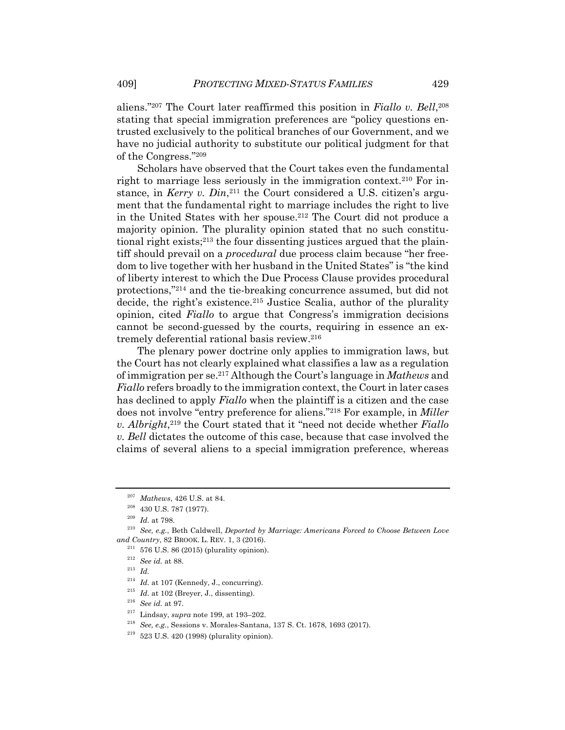aliens."207 The Court later reaffirmed this position in *Fiallo v. Bell*, 208 stating that special immigration preferences are "policy questions entrusted exclusively to the political branches of our Government, and we have no judicial authority to substitute our political judgment for that of the Congress."209

Scholars have observed that the Court takes even the fundamental right to marriage less seriously in the immigration context.210 For instance, in *Kerry v. Din*,<sup>211</sup> the Court considered a U.S. citizen's argument that the fundamental right to marriage includes the right to live in the United States with her spouse.212 The Court did not produce a majority opinion. The plurality opinion stated that no such constitutional right exists;213 the four dissenting justices argued that the plaintiff should prevail on a *procedural* due process claim because "her freedom to live together with her husband in the United States" is "the kind of liberty interest to which the Due Process Clause provides procedural protections,"214 and the tie-breaking concurrence assumed, but did not decide, the right's existence.<sup>215</sup> Justice Scalia, author of the plurality opinion, cited *Fiallo* to argue that Congress's immigration decisions cannot be second-guessed by the courts, requiring in essence an extremely deferential rational basis review.216

The plenary power doctrine only applies to immigration laws, but the Court has not clearly explained what classifies a law as a regulation of immigration per se.217 Although the Court's language in *Mathews* and *Fiallo* refers broadly to the immigration context, the Court in later cases has declined to apply *Fiallo* when the plaintiff is a citizen and the case does not involve "entry preference for aliens."218 For example, in *Miller v. Albright*, <sup>219</sup> the Court stated that it "need not decide whether *Fiallo v. Bell* dictates the outcome of this case, because that case involved the claims of several aliens to a special immigration preference, whereas

- <sup>218</sup> *See, e.g.*, Sessions v. Morales-Santana, 137 S. Ct. 1678, 1693 (2017).
- $219$  523 U.S. 420 (1998) (plurality opinion).

<sup>207</sup> *Mathews*, 426 U.S. at 84.

 $^{208}\,$  430 U.S. 787 (1977).

<sup>209</sup> *Id.* at 798.

<sup>210</sup> *See, e.g.*, Beth Caldwell, *Deported by Marriage: Americans Forced to Choose Between Love and Country*, 82 BROOK. L. REV. 1, 3 (2016).

 $211$  576 U.S. 86 (2015) (plurality opinion).

<sup>212</sup> *See id.* at 88.

<sup>213</sup> *Id.*

<sup>&</sup>lt;sup>214</sup> *Id.* at 107 (Kennedy, J., concurring).

<sup>215</sup> *Id.* at 102 (Breyer, J., dissenting).

<sup>216</sup> *See id.* at 97.

<sup>217</sup> Lindsay, *supra* note 199, at 193–202.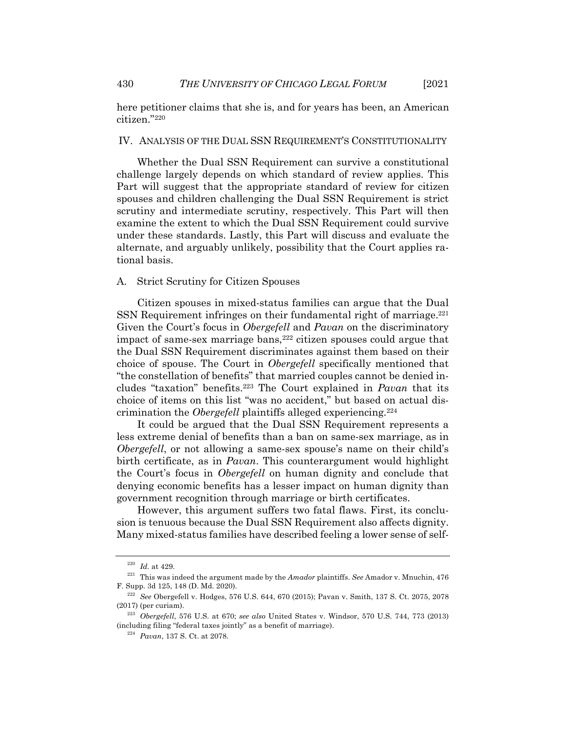here petitioner claims that she is, and for years has been, an American citizen."220

#### IV. ANALYSIS OF THE DUAL SSN REQUIREMENT'S CONSTITUTIONALITY

Whether the Dual SSN Requirement can survive a constitutional challenge largely depends on which standard of review applies. This Part will suggest that the appropriate standard of review for citizen spouses and children challenging the Dual SSN Requirement is strict scrutiny and intermediate scrutiny, respectively. This Part will then examine the extent to which the Dual SSN Requirement could survive under these standards. Lastly, this Part will discuss and evaluate the alternate, and arguably unlikely, possibility that the Court applies rational basis.

#### A. Strict Scrutiny for Citizen Spouses

Citizen spouses in mixed-status families can argue that the Dual SSN Requirement infringes on their fundamental right of marriage.<sup>221</sup> Given the Court's focus in *Obergefell* and *Pavan* on the discriminatory impact of same-sex marriage bans,<sup>222</sup> citizen spouses could argue that the Dual SSN Requirement discriminates against them based on their choice of spouse. The Court in *Obergefell* specifically mentioned that "the constellation of benefits" that married couples cannot be denied includes "taxation" benefits.223 The Court explained in *Pavan* that its choice of items on this list "was no accident," but based on actual discrimination the *Obergefell* plaintiffs alleged experiencing.224

It could be argued that the Dual SSN Requirement represents a less extreme denial of benefits than a ban on same-sex marriage, as in *Obergefell*, or not allowing a same-sex spouse's name on their child's birth certificate, as in *Pavan*. This counterargument would highlight the Court's focus in *Obergefell* on human dignity and conclude that denying economic benefits has a lesser impact on human dignity than government recognition through marriage or birth certificates.

However, this argument suffers two fatal flaws. First, its conclusion is tenuous because the Dual SSN Requirement also affects dignity. Many mixed-status families have described feeling a lower sense of self-

<sup>220</sup> *Id.* at 429.

<sup>221</sup> This was indeed the argument made by the *Amador* plaintiffs. *See* Amador v. Mnuchin, 476 F. Supp. 3d 125, 148 (D. Md. 2020).

<sup>222</sup> *See* Obergefell v. Hodges, 576 U.S. 644, 670 (2015); Pavan v. Smith, 137 S. Ct. 2075, 2078 (2017) (per curiam).

<sup>223</sup> *Obergefell*, 576 U.S. at 670; *see also* United States v. Windsor, 570 U.S. 744, 773 (2013) (including filing "federal taxes jointly" as a benefit of marriage).

<sup>224</sup> *Pavan*, 137 S. Ct. at 2078.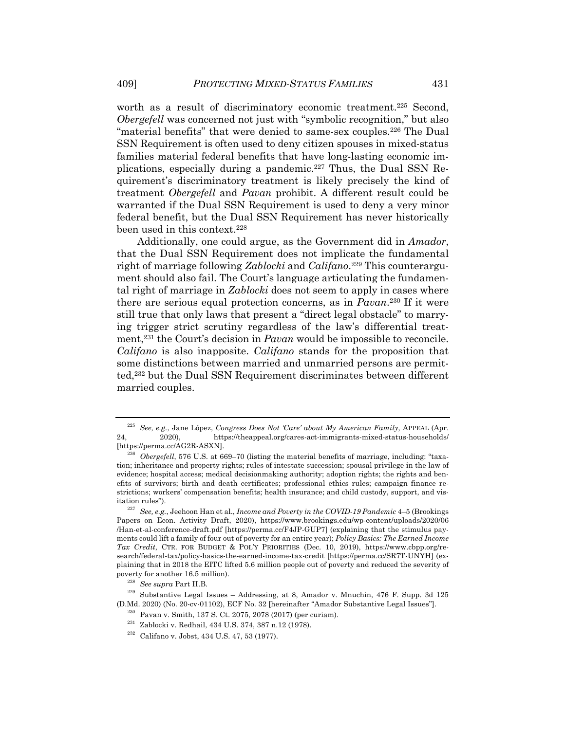worth as a result of discriminatory economic treatment.<sup>225</sup> Second, *Obergefell* was concerned not just with "symbolic recognition," but also "material benefits" that were denied to same-sex couples.<sup>226</sup> The Dual SSN Requirement is often used to deny citizen spouses in mixed-status families material federal benefits that have long-lasting economic implications, especially during a pandemic.227 Thus, the Dual SSN Requirement's discriminatory treatment is likely precisely the kind of treatment *Obergefell* and *Pavan* prohibit. A different result could be warranted if the Dual SSN Requirement is used to deny a very minor federal benefit, but the Dual SSN Requirement has never historically been used in this context.<sup>228</sup>

Additionally, one could argue, as the Government did in *Amador*, that the Dual SSN Requirement does not implicate the fundamental right of marriage following *Zablocki* and *Califano*.229 This counterargument should also fail. The Court's language articulating the fundamental right of marriage in *Zablocki* does not seem to apply in cases where there are serious equal protection concerns, as in *Pavan*. <sup>230</sup> If it were still true that only laws that present a "direct legal obstacle" to marrying trigger strict scrutiny regardless of the law's differential treatment,231 the Court's decision in *Pavan* would be impossible to reconcile. *Califano* is also inapposite. *Califano* stands for the proposition that some distinctions between married and unmarried persons are permitted,232 but the Dual SSN Requirement discriminates between different married couples.

<sup>225</sup> *See, e.g.*, Jane López, *Congress Does Not 'Care' about My American Family*, APPEAL (Apr. 24, 2020), https://theappeal.org/cares-act-immigrants-mixed-status-households/ [https://perma.cc/AG2R-ASXN].

<sup>&</sup>lt;sup>226</sup> *Obergefell*, 576 U.S. at 669–70 (listing the material benefits of marriage, including: "taxation; inheritance and property rights; rules of intestate succession; spousal privilege in the law of evidence; hospital access; medical decisionmaking authority; adoption rights; the rights and benefits of survivors; birth and death certificates; professional ethics rules; campaign finance restrictions; workers' compensation benefits; health insurance; and child custody, support, and visitation rules").

<sup>227</sup> *See, e.g.*, Jeehoon Han et al., *Income and Poverty in the COVID-19 Pandemic* 4–5 (Brookings Papers on Econ. Activity Draft, 2020), https://www.brookings.edu/wp-content/uploads/2020/06 /Han-et-al-conference-draft.pdf [https://perma.cc/F4JP-GUP7] (explaining that the stimulus payments could lift a family of four out of poverty for an entire year); *Policy Basics: The Earned Income Tax Credit*, CTR. FOR BUDGET & POL'Y PRIORITIES (Dec. 10, 2019), https://www.cbpp.org/research/federal-tax/policy-basics-the-earned-income-tax-credit [https://perma.cc/SR7T-UNYH] (explaining that in 2018 the EITC lifted 5.6 million people out of poverty and reduced the severity of poverty for another 16.5 million).

<sup>228</sup> *See supra* Part II.B.

 $229$  Substantive Legal Issues – Addressing, at 8, Amador v. Mnuchin, 476 F. Supp. 3d 125 (D.Md. 2020) (No. 20-cv-01102), ECF No. 32 [hereinafter "Amador Substantive Legal Issues"].

<sup>230</sup> Pavan v. Smith, 137 S. Ct. 2075, 2078 (2017) (per curiam).

<sup>231</sup> Zablocki v. Redhail, 434 U.S. 374, 387 n.12 (1978).

<sup>232</sup> Califano v. Jobst, 434 U.S. 47, 53 (1977).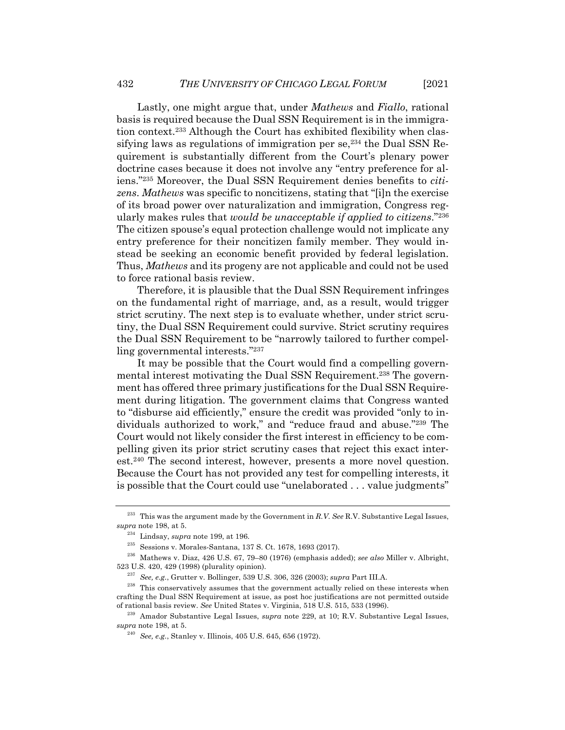Lastly, one might argue that, under *Mathews* and *Fiallo*, rational basis is required because the Dual SSN Requirement is in the immigration context.233 Although the Court has exhibited flexibility when classifying laws as regulations of immigration per se,<sup>234</sup> the Dual SSN Requirement is substantially different from the Court's plenary power doctrine cases because it does not involve any "entry preference for aliens."235 Moreover, the Dual SSN Requirement denies benefits to *citizens*. *Mathews* was specific to noncitizens, stating that "[i]n the exercise of its broad power over naturalization and immigration, Congress regularly makes rules that *would be unacceptable if applied to citizens*."236 The citizen spouse's equal protection challenge would not implicate any entry preference for their noncitizen family member. They would instead be seeking an economic benefit provided by federal legislation. Thus, *Mathews* and its progeny are not applicable and could not be used to force rational basis review.

Therefore, it is plausible that the Dual SSN Requirement infringes on the fundamental right of marriage, and, as a result, would trigger strict scrutiny. The next step is to evaluate whether, under strict scrutiny, the Dual SSN Requirement could survive. Strict scrutiny requires the Dual SSN Requirement to be "narrowly tailored to further compelling governmental interests."237

It may be possible that the Court would find a compelling governmental interest motivating the Dual SSN Requirement.<sup>238</sup> The government has offered three primary justifications for the Dual SSN Requirement during litigation. The government claims that Congress wanted to "disburse aid efficiently," ensure the credit was provided "only to individuals authorized to work," and "reduce fraud and abuse."239 The Court would not likely consider the first interest in efficiency to be compelling given its prior strict scrutiny cases that reject this exact interest.240 The second interest, however, presents a more novel question. Because the Court has not provided any test for compelling interests, it is possible that the Court could use "unelaborated . . . value judgments"

<sup>233</sup> This was the argument made by the Government in *R.V. See* R.V. Substantive Legal Issues, *supra* note 198, at 5.

<sup>234</sup> Lindsay, *supra* note 199, at 196.

<sup>235</sup> Sessions v. Morales-Santana, 137 S. Ct. 1678, 1693 (2017).

<sup>236</sup> Mathews v. Diaz, 426 U.S. 67, 79–80 (1976) (emphasis added); *see also* Miller v. Albright, 523 U.S. 420, 429 (1998) (plurality opinion).

<sup>237</sup> *See, e.g.*, Grutter v. Bollinger, 539 U.S. 306, 326 (2003); *supra* Part III.A.

<sup>&</sup>lt;sup>238</sup> This conservatively assumes that the government actually relied on these interests when crafting the Dual SSN Requirement at issue, as post hoc justifications are not permitted outside of rational basis review. *See* United States v. Virginia, 518 U.S. 515, 533 (1996).

<sup>239</sup> Amador Substantive Legal Issues, *supra* note 229, at 10; R.V. Substantive Legal Issues, *supra* note 198, at 5.

<sup>240</sup> *See, e.g.*, Stanley v. Illinois, 405 U.S. 645, 656 (1972).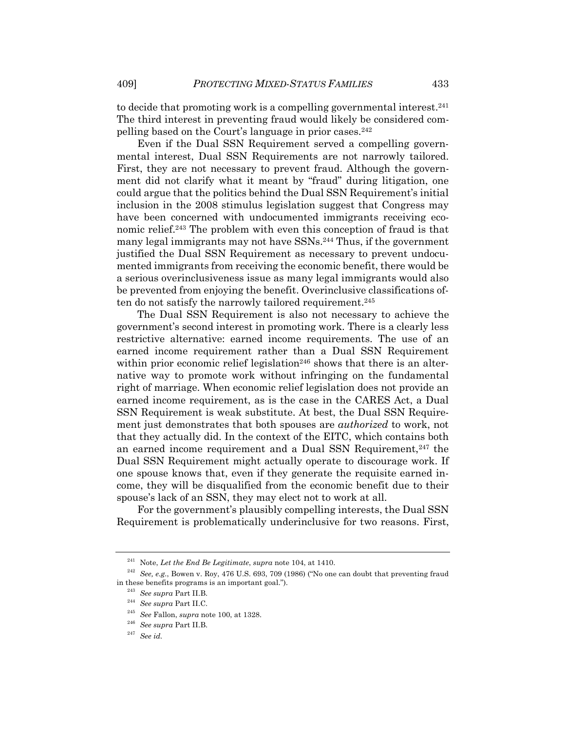to decide that promoting work is a compelling governmental interest.241 The third interest in preventing fraud would likely be considered compelling based on the Court's language in prior cases.242

Even if the Dual SSN Requirement served a compelling governmental interest, Dual SSN Requirements are not narrowly tailored. First, they are not necessary to prevent fraud. Although the government did not clarify what it meant by "fraud" during litigation, one could argue that the politics behind the Dual SSN Requirement's initial inclusion in the 2008 stimulus legislation suggest that Congress may have been concerned with undocumented immigrants receiving economic relief.243 The problem with even this conception of fraud is that many legal immigrants may not have SSNs.244 Thus, if the government justified the Dual SSN Requirement as necessary to prevent undocumented immigrants from receiving the economic benefit, there would be a serious overinclusiveness issue as many legal immigrants would also be prevented from enjoying the benefit. Overinclusive classifications often do not satisfy the narrowly tailored requirement.<sup>245</sup>

The Dual SSN Requirement is also not necessary to achieve the government's second interest in promoting work. There is a clearly less restrictive alternative: earned income requirements. The use of an earned income requirement rather than a Dual SSN Requirement within prior economic relief legislation<sup>246</sup> shows that there is an alternative way to promote work without infringing on the fundamental right of marriage. When economic relief legislation does not provide an earned income requirement, as is the case in the CARES Act, a Dual SSN Requirement is weak substitute. At best, the Dual SSN Requirement just demonstrates that both spouses are *authorized* to work, not that they actually did. In the context of the EITC, which contains both an earned income requirement and a Dual SSN Requirement,<sup>247</sup> the Dual SSN Requirement might actually operate to discourage work. If one spouse knows that, even if they generate the requisite earned income, they will be disqualified from the economic benefit due to their spouse's lack of an SSN, they may elect not to work at all.

For the government's plausibly compelling interests, the Dual SSN Requirement is problematically underinclusive for two reasons. First,

<sup>241</sup> Note, *Let the End Be Legitimate*, *supra* note 104, at 1410.

<sup>242</sup> *See, e.g.*, Bowen v. Roy, 476 U.S. 693, 709 (1986) ("No one can doubt that preventing fraud in these benefits programs is an important goal.").

<sup>243</sup> *See supra* Part II.B.

<sup>244</sup> *See supra* Part II.C.

<sup>245</sup> *See* Fallon, *supra* note 100, at 1328.

<sup>246</sup> *See supra* Part II.B.

<sup>247</sup> *See id.*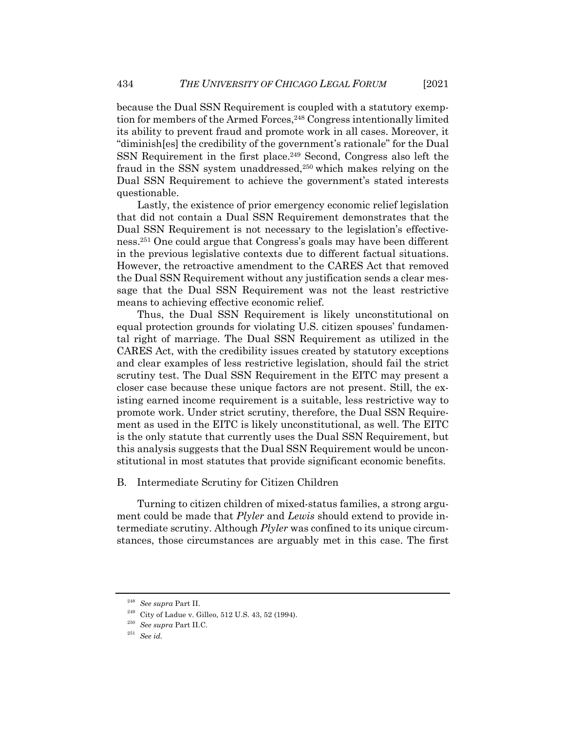because the Dual SSN Requirement is coupled with a statutory exemption for members of the Armed Forces,<sup>248</sup> Congress intentionally limited its ability to prevent fraud and promote work in all cases. Moreover, it "diminish[es] the credibility of the government's rationale" for the Dual SSN Requirement in the first place.<sup>249</sup> Second, Congress also left the fraud in the SSN system unaddressed,250 which makes relying on the Dual SSN Requirement to achieve the government's stated interests questionable.

Lastly, the existence of prior emergency economic relief legislation that did not contain a Dual SSN Requirement demonstrates that the Dual SSN Requirement is not necessary to the legislation's effectiveness.251 One could argue that Congress's goals may have been different in the previous legislative contexts due to different factual situations. However, the retroactive amendment to the CARES Act that removed the Dual SSN Requirement without any justification sends a clear message that the Dual SSN Requirement was not the least restrictive means to achieving effective economic relief.

Thus, the Dual SSN Requirement is likely unconstitutional on equal protection grounds for violating U.S. citizen spouses' fundamental right of marriage. The Dual SSN Requirement as utilized in the CARES Act, with the credibility issues created by statutory exceptions and clear examples of less restrictive legislation, should fail the strict scrutiny test. The Dual SSN Requirement in the EITC may present a closer case because these unique factors are not present. Still, the existing earned income requirement is a suitable, less restrictive way to promote work. Under strict scrutiny, therefore, the Dual SSN Requirement as used in the EITC is likely unconstitutional, as well. The EITC is the only statute that currently uses the Dual SSN Requirement, but this analysis suggests that the Dual SSN Requirement would be unconstitutional in most statutes that provide significant economic benefits.

#### B. Intermediate Scrutiny for Citizen Children

Turning to citizen children of mixed-status families, a strong argument could be made that *Plyler* and *Lewis* should extend to provide intermediate scrutiny. Although *Plyler* was confined to its unique circumstances, those circumstances are arguably met in this case. The first

<sup>248</sup> *See supra* Part II.

 $^{249}\,$  City of Ladue v. Gilleo, 512 U.S. 43, 52 (1994).

<sup>250</sup> *See supra* Part II.C.

<sup>251</sup> *See id.*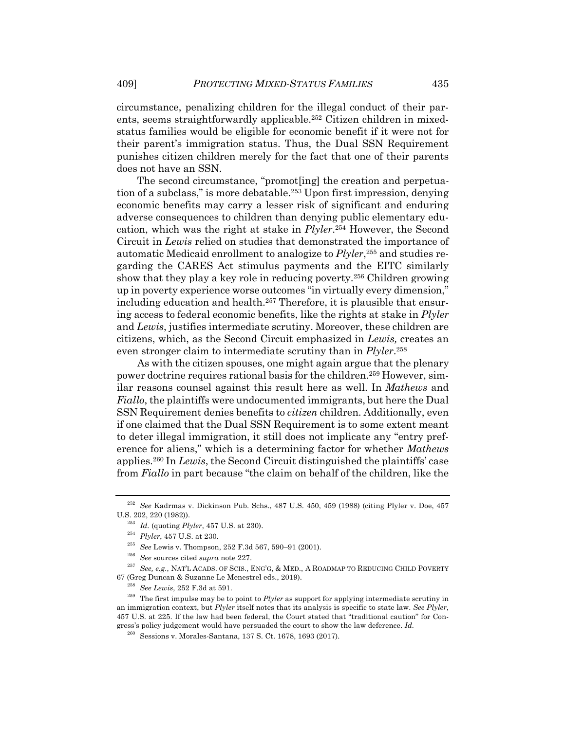circumstance, penalizing children for the illegal conduct of their parents, seems straightforwardly applicable.<sup>252</sup> Citizen children in mixedstatus families would be eligible for economic benefit if it were not for their parent's immigration status. Thus, the Dual SSN Requirement punishes citizen children merely for the fact that one of their parents does not have an SSN.

The second circumstance, "promot[ing] the creation and perpetuation of a subclass," is more debatable.253 Upon first impression, denying economic benefits may carry a lesser risk of significant and enduring adverse consequences to children than denying public elementary education, which was the right at stake in *Plyler*. <sup>254</sup> However, the Second Circuit in *Lewis* relied on studies that demonstrated the importance of automatic Medicaid enrollment to analogize to *Plyler*, <sup>255</sup> and studies regarding the CARES Act stimulus payments and the EITC similarly show that they play a key role in reducing poverty.256 Children growing up in poverty experience worse outcomes "in virtually every dimension," including education and health.<sup>257</sup> Therefore, it is plausible that ensuring access to federal economic benefits, like the rights at stake in *Plyler* and *Lewis*, justifies intermediate scrutiny. Moreover, these children are citizens, which, as the Second Circuit emphasized in *Lewis,* creates an even stronger claim to intermediate scrutiny than in *Plyler*. 258

As with the citizen spouses, one might again argue that the plenary power doctrine requires rational basis for the children.259 However, similar reasons counsel against this result here as well. In *Mathews* and *Fiallo*, the plaintiffs were undocumented immigrants, but here the Dual SSN Requirement denies benefits to *citizen* children. Additionally, even if one claimed that the Dual SSN Requirement is to some extent meant to deter illegal immigration, it still does not implicate any "entry preference for aliens," which is a determining factor for whether *Mathews* applies.260 In *Lewis*, the Second Circuit distinguished the plaintiffs' case from *Fiallo* in part because "the claim on behalf of the children, like the

<sup>252</sup> *See* Kadrmas v. Dickinson Pub. Schs., 487 U.S. 450, 459 (1988) (citing Plyler v. Doe, 457 U.S. 202, 220 (1982)).

<sup>253</sup> *Id.* (quoting *Plyler*, 457 U.S. at 230).

<sup>254</sup> *Plyler*, 457 U.S. at 230.

<sup>255</sup> *See* Lewis v. Thompson, 252 F.3d 567, 590–91 (2001).

<sup>256</sup> *See* sources cited *supra* note 227.

<sup>257</sup> *See, e.g.*, NAT'L ACADS. OF SCIS., ENG'G, & MED., A ROADMAP TO REDUCING CHILD POVERTY 67 (Greg Duncan & Suzanne Le Menestrel eds., 2019).

<sup>258</sup> *See Lewis*, 252 F.3d at 591.

<sup>259</sup> The first impulse may be to point to *Plyler* as support for applying intermediate scrutiny in an immigration context, but *Plyler* itself notes that its analysis is specific to state law. *See Plyler*, 457 U.S. at 225. If the law had been federal, the Court stated that "traditional caution" for Congress's policy judgement would have persuaded the court to show the law deference. *Id.*

<sup>260</sup> Sessions v. Morales-Santana, 137 S. Ct. 1678, 1693 (2017).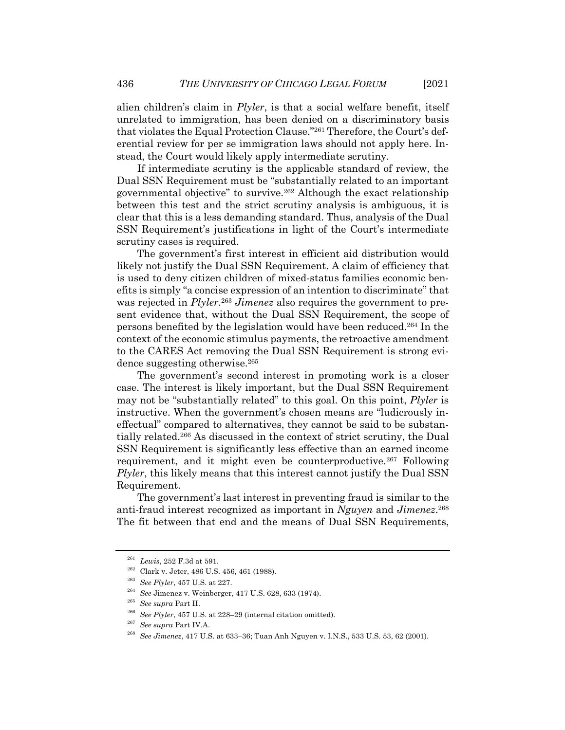alien children's claim in *Plyler*, is that a social welfare benefit, itself unrelated to immigration, has been denied on a discriminatory basis that violates the Equal Protection Clause."261 Therefore, the Court's deferential review for per se immigration laws should not apply here. Instead, the Court would likely apply intermediate scrutiny.

If intermediate scrutiny is the applicable standard of review, the Dual SSN Requirement must be "substantially related to an important governmental objective" to survive.262 Although the exact relationship between this test and the strict scrutiny analysis is ambiguous, it is clear that this is a less demanding standard. Thus, analysis of the Dual SSN Requirement's justifications in light of the Court's intermediate scrutiny cases is required.

The government's first interest in efficient aid distribution would likely not justify the Dual SSN Requirement. A claim of efficiency that is used to deny citizen children of mixed-status families economic benefits is simply "a concise expression of an intention to discriminate" that was rejected in *Plyler*. <sup>263</sup> *Jimenez* also requires the government to present evidence that, without the Dual SSN Requirement, the scope of persons benefited by the legislation would have been reduced.264 In the context of the economic stimulus payments, the retroactive amendment to the CARES Act removing the Dual SSN Requirement is strong evidence suggesting otherwise.265

The government's second interest in promoting work is a closer case. The interest is likely important, but the Dual SSN Requirement may not be "substantially related" to this goal. On this point, *Plyler* is instructive. When the government's chosen means are "ludicrously ineffectual" compared to alternatives, they cannot be said to be substantially related.266 As discussed in the context of strict scrutiny, the Dual SSN Requirement is significantly less effective than an earned income requirement, and it might even be counterproductive.<sup>267</sup> Following *Plyler*, this likely means that this interest cannot justify the Dual SSN Requirement.

The government's last interest in preventing fraud is similar to the anti-fraud interest recognized as important in *Nguyen* and *Jimenez*. 268 The fit between that end and the means of Dual SSN Requirements,

<sup>261</sup> *Lewis*, 252 F.3d at 591.

 $^{262}\,$  Clark v. Jeter, 486 U.S. 456, 461 (1988).

<sup>263</sup> *See Plyler*, 457 U.S. at 227.

<sup>264</sup> *See* Jimenez v. Weinberger, 417 U.S. 628, 633 (1974).

<sup>265</sup> *See supra* Part II.

<sup>266</sup> *See Plyler*, 457 U.S. at 228–29 (internal citation omitted).

<sup>267</sup> *See supra* Part IV.A.

<sup>268</sup> *See Jimenez*, 417 U.S. at 633–36; Tuan Anh Nguyen v. I.N.S., 533 U.S. 53, 62 (2001).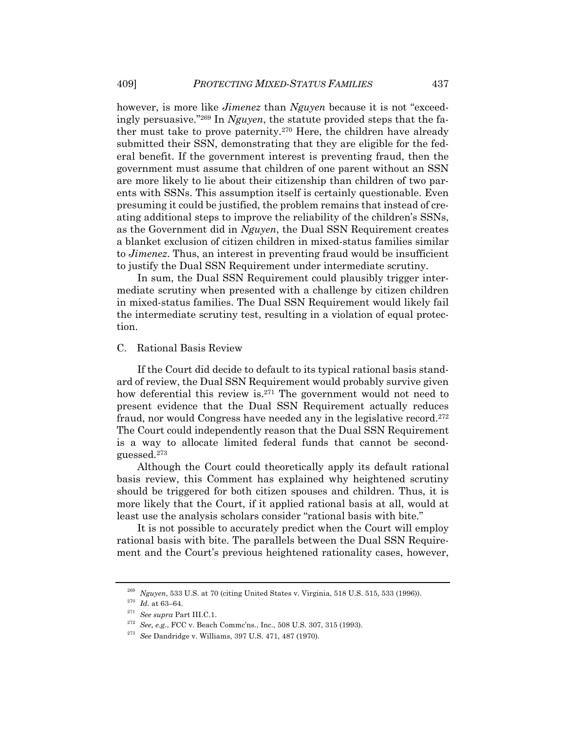however, is more like *Jimenez* than *Nguyen* because it is not "exceedingly persuasive."269 In *Nguyen*, the statute provided steps that the father must take to prove paternity.270 Here, the children have already submitted their SSN, demonstrating that they are eligible for the federal benefit. If the government interest is preventing fraud, then the government must assume that children of one parent without an SSN are more likely to lie about their citizenship than children of two parents with SSNs. This assumption itself is certainly questionable. Even presuming it could be justified, the problem remains that instead of creating additional steps to improve the reliability of the children's SSNs, as the Government did in *Nguyen*, the Dual SSN Requirement creates a blanket exclusion of citizen children in mixed-status families similar to *Jimenez*. Thus, an interest in preventing fraud would be insufficient to justify the Dual SSN Requirement under intermediate scrutiny.

In sum, the Dual SSN Requirement could plausibly trigger intermediate scrutiny when presented with a challenge by citizen children in mixed-status families. The Dual SSN Requirement would likely fail the intermediate scrutiny test, resulting in a violation of equal protection.

#### C. Rational Basis Review

If the Court did decide to default to its typical rational basis standard of review, the Dual SSN Requirement would probably survive given how deferential this review is.271 The government would not need to present evidence that the Dual SSN Requirement actually reduces fraud, nor would Congress have needed any in the legislative record.272 The Court could independently reason that the Dual SSN Requirement is a way to allocate limited federal funds that cannot be secondguessed.273

Although the Court could theoretically apply its default rational basis review, this Comment has explained why heightened scrutiny should be triggered for both citizen spouses and children. Thus, it is more likely that the Court, if it applied rational basis at all, would at least use the analysis scholars consider "rational basis with bite."

It is not possible to accurately predict when the Court will employ rational basis with bite. The parallels between the Dual SSN Requirement and the Court's previous heightened rationality cases, however,

<sup>269</sup> *Nguyen*, 533 U.S. at 70 (citing United States v. Virginia, 518 U.S. 515, 533 (1996)).

 $^{270}\,$   $Id.\,$  at 63–64.

<sup>271</sup> *See supra* Part III.C.1.

<sup>272</sup> *See, e.g.*, FCC v. Beach Commc'ns., Inc., 508 U.S. 307, 315 (1993).

<sup>273</sup> *See* Dandridge v. Williams, 397 U.S. 471, 487 (1970).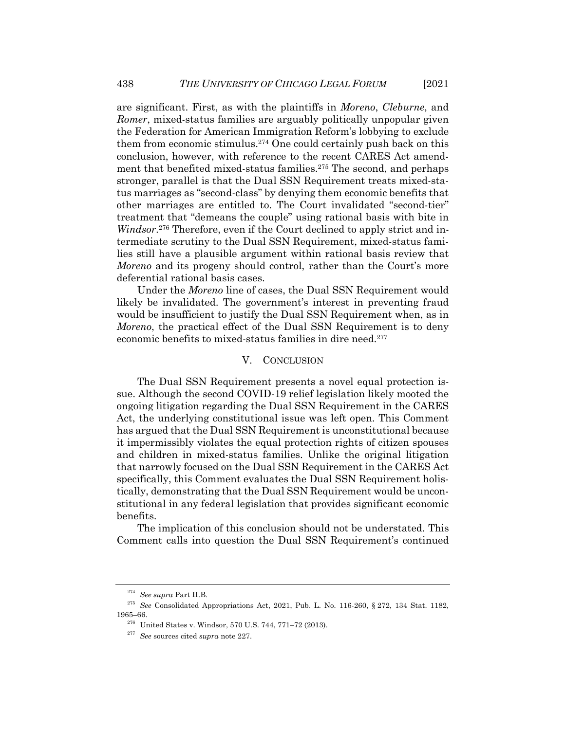are significant. First, as with the plaintiffs in *Moreno*, *Cleburne*, and *Romer*, mixed-status families are arguably politically unpopular given the Federation for American Immigration Reform's lobbying to exclude them from economic stimulus.274 One could certainly push back on this conclusion, however, with reference to the recent CARES Act amendment that benefited mixed-status families.275 The second, and perhaps stronger, parallel is that the Dual SSN Requirement treats mixed-status marriages as "second-class" by denying them economic benefits that other marriages are entitled to. The Court invalidated "second-tier" treatment that "demeans the couple" using rational basis with bite in *Windsor*. <sup>276</sup> Therefore, even if the Court declined to apply strict and intermediate scrutiny to the Dual SSN Requirement, mixed-status families still have a plausible argument within rational basis review that *Moreno* and its progeny should control, rather than the Court's more deferential rational basis cases.

Under the *Moreno* line of cases, the Dual SSN Requirement would likely be invalidated. The government's interest in preventing fraud would be insufficient to justify the Dual SSN Requirement when, as in *Moreno*, the practical effect of the Dual SSN Requirement is to deny economic benefits to mixed-status families in dire need.277

#### V. CONCLUSION

The Dual SSN Requirement presents a novel equal protection issue. Although the second COVID-19 relief legislation likely mooted the ongoing litigation regarding the Dual SSN Requirement in the CARES Act, the underlying constitutional issue was left open. This Comment has argued that the Dual SSN Requirement is unconstitutional because it impermissibly violates the equal protection rights of citizen spouses and children in mixed-status families. Unlike the original litigation that narrowly focused on the Dual SSN Requirement in the CARES Act specifically, this Comment evaluates the Dual SSN Requirement holistically, demonstrating that the Dual SSN Requirement would be unconstitutional in any federal legislation that provides significant economic benefits.

The implication of this conclusion should not be understated. This Comment calls into question the Dual SSN Requirement's continued

<sup>274</sup> *See supra* Part II.B.

<sup>275</sup> *See* Consolidated Appropriations Act, 2021, Pub. L. No. 116-260, § 272, 134 Stat. 1182, 1965–66.

<sup>276</sup> United States v. Windsor, 570 U.S. 744, 771–72 (2013).

<sup>277</sup> *See* sources cited *supra* note 227.